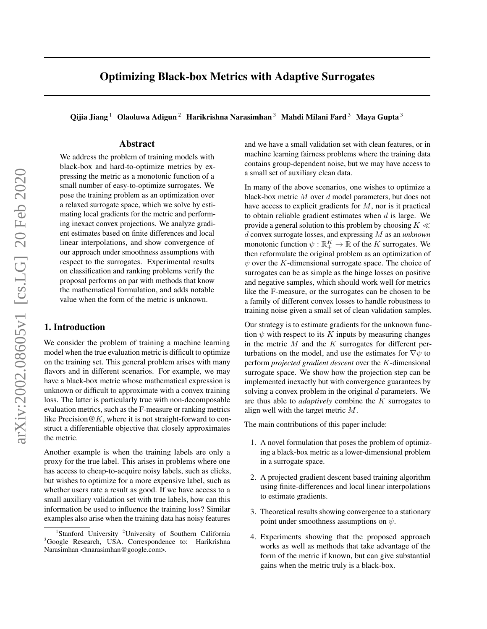# Optimizing Black-box Metrics with Adaptive Surrogates

Qijia Jiang <sup>1</sup> Olaoluwa Adigun<sup>2</sup> Harikrishna Narasimhan<sup>3</sup> Mahdi Milani Fard<sup>3</sup> Maya Gupta<sup>3</sup>

# Abstract

We address the problem of training models with black-box and hard-to-optimize metrics by expressing the metric as a monotonic function of a small number of easy-to-optimize surrogates. We pose the training problem as an optimization over a relaxed surrogate space, which we solve by estimating local gradients for the metric and performing inexact convex projections. We analyze gradient estimates based on finite differences and local linear interpolations, and show convergence of our approach under smoothness assumptions with respect to the surrogates. Experimental results on classification and ranking problems verify the proposal performs on par with methods that know the mathematical formulation, and adds notable value when the form of the metric is unknown.

# 1. Introduction

We consider the problem of training a machine learning model when the true evaluation metric is difficult to optimize on the training set. This general problem arises with many flavors and in different scenarios. For example, we may have a black-box metric whose mathematical expression is unknown or difficult to approximate with a convex training loss. The latter is particularly true with non-decomposable evaluation metrics, such as the F-measure or ranking metrics like Precision  $\mathcal{Q}K$ , where it is not straight-forward to construct a differentiable objective that closely approximates the metric.

Another example is when the training labels are only a proxy for the true label. This arises in problems where one has access to cheap-to-acquire noisy labels, such as clicks, but wishes to optimize for a more expensive label, such as whether users rate a result as good. If we have access to a small auxiliary validation set with true labels, how can this information be used to influence the training loss? Similar examples also arise when the training data has noisy features

and we have a small validation set with clean features, or in machine learning fairness problems where the training data contains group-dependent noise, but we may have access to a small set of auxiliary clean data.

In many of the above scenarios, one wishes to optimize a black-box metric M over d model parameters, but does not have access to explicit gradients for  $M$ , nor is it practical to obtain reliable gradient estimates when  $d$  is large. We provide a general solution to this problem by choosing  $K \ll$ d convex surrogate losses, and expressing M as an *unknown* monotonic function  $\psi : \mathbb{R}_+^K \to \mathbb{R}$  of the K surrogates. We then reformulate the original problem as an optimization of  $\psi$  over the K-dimensional surrogate space. The choice of surrogates can be as simple as the hinge losses on positive and negative samples, which should work well for metrics like the F-measure, or the surrogates can be chosen to be a family of different convex losses to handle robustness to training noise given a small set of clean validation samples.

Our strategy is to estimate gradients for the unknown function  $\psi$  with respect to its K inputs by measuring changes in the metric  $M$  and the  $K$  surrogates for different perturbations on the model, and use the estimates for  $\nabla \psi$  to perform *projected gradient descent* over the K-dimensional surrogate space. We show how the projection step can be implemented inexactly but with convergence guarantees by solving a convex problem in the original  $d$  parameters. We are thus able to *adaptively* combine the K surrogates to align well with the target metric M.

The main contributions of this paper include:

- 1. A novel formulation that poses the problem of optimizing a black-box metric as a lower-dimensional problem in a surrogate space.
- 2. A projected gradient descent based training algorithm using finite-differences and local linear interpolations to estimate gradients.
- 3. Theoretical results showing convergence to a stationary point under smoothness assumptions on  $\psi$ .
- 4. Experiments showing that the proposed approach works as well as methods that take advantage of the form of the metric if known, but can give substantial gains when the metric truly is a black-box.

<sup>&</sup>lt;sup>1</sup>Stanford University <sup>2</sup>University of Southern California <sup>3</sup>Google Research, USA. Correspondence to: Harikrishna Narasimhan <hnarasimhan@google.com>.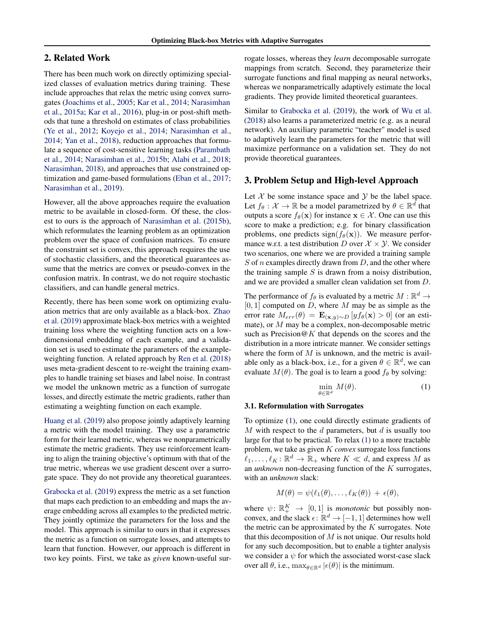# <span id="page-1-0"></span>2. Related Work

There has been much work on directly optimizing specialized classes of evaluation metrics during training. These include approaches that relax the metric using convex surrogates [\(Joachims et al.,](#page-8-0) [2005;](#page-8-0) [Kar et al.,](#page-8-0) [2014;](#page-8-0) [Narasimhan](#page-8-0) [et al.,](#page-8-0) [2015a;](#page-8-0) [Kar et al.,](#page-8-0) [2016\)](#page-8-0), plug-in or post-shift methods that tune a threshold on estimates of class probabilities [\(Ye et al.,](#page-9-0) [2012;](#page-9-0) [Koyejo et al.,](#page-8-0) [2014;](#page-8-0) [Narasimhan et al.,](#page-8-0) [2014;](#page-8-0) [Yan et al.,](#page-9-0) [2018\)](#page-9-0), reduction approaches that formulate a sequence of cost-sensitive learning tasks [\(Parambath](#page-9-0) [et al.,](#page-9-0) [2014;](#page-9-0) [Narasimhan et al.,](#page-8-0) [2015b;](#page-8-0) [Alabi et al.,](#page-8-0) [2018;](#page-8-0) [Narasimhan,](#page-8-0) [2018\)](#page-8-0), and approaches that use constrained optimization and game-based formulations [\(Eban et al.,](#page-8-0) [2017;](#page-8-0) [Narasimhan et al.,](#page-8-0) [2019\)](#page-8-0).

However, all the above approaches require the evaluation metric to be available in closed-form. Of these, the closest to ours is the approach of [Narasimhan et al.](#page-8-0) [\(2015b\)](#page-8-0), which reformulates the learning problem as an optimization problem over the space of confusion matrices. To ensure the constraint set is convex, this approach requires the use of stochastic classifiers, and the theoretical guarantees assume that the metrics are convex or pseudo-convex in the confusion matrix. In contrast, we do not require stochastic classifiers, and can handle general metrics.

Recently, there has been some work on optimizing evaluation metrics that are only available as a black-box. [Zhao](#page-9-0) [et al.](#page-9-0) [\(2019\)](#page-9-0) approximate black-box metrics with a weighted training loss where the weighting function acts on a lowdimensional embedding of each example, and a validation set is used to estimate the parameters of the exampleweighting function. A related approach by [Ren et al.](#page-9-0) [\(2018\)](#page-9-0) uses meta-gradient descent to re-weight the training examples to handle training set biases and label noise. In contrast we model the unknown metric as a function of surrogate losses, and directly estimate the metric gradients, rather than estimating a weighting function on each example.

[Huang et al.](#page-8-0) [\(2019\)](#page-8-0) also propose jointly adaptively learning a metric with the model training. They use a parametric form for their learned metric, whereas we nonparametrically estimate the metric gradients. They use reinforcement learning to align the training objective's optimum with that of the true metric, whereas we use gradient descent over a surrogate space. They do not provide any theoretical guarantees.

[Grabocka et al.](#page-8-0) [\(2019\)](#page-8-0) express the metric as a set function that maps each prediction to an embedding and maps the average embedding across all examples to the predicted metric. They jointly optimize the parameters for the loss and the model. This approach is similar to ours in that it expresses the metric as a function on surrogate losses, and attempts to learn that function. However, our approach is different in two key points. First, we take as *given* known-useful surrogate losses, whereas they *learn* decomposable surrogate mappings from scratch. Second, they parameterize their surrogate functions and final mapping as neural networks, whereas we nonparametrically adaptively estimate the local gradients. They provide limited theoretical guarantees.

Similar to [Grabocka et al.](#page-8-0) [\(2019\)](#page-8-0), the work of [Wu et al.](#page-9-0) [\(2018\)](#page-9-0) also learns a parameterized metric (e.g. as a neural network). An auxiliary parametric "teacher" model is used to adaptively learn the parameters for the metric that will maximize performance on a validation set. They do not provide theoretical guarantees.

# 3. Problem Setup and High-level Approach

Let  $X$  be some instance space and  $Y$  be the label space. Let  $f_{\theta}: \mathcal{X} \to \mathbb{R}$  be a model parametrized by  $\theta \in \mathbb{R}^d$  that outputs a score  $f_{\theta}(\mathbf{x})$  for instance  $\mathbf{x} \in \mathcal{X}$ . One can use this score to make a prediction; e.g. for binary classification problems, one predicts sign( $f_{\theta}(\mathbf{x})$ ). We measure performance w.r.t. a test distribution D over  $X \times Y$ . We consider two scenarios, one where we are provided a training sample  $S$  of n examples directly drawn from  $D$ , and the other where the training sample  $S$  is drawn from a noisy distribution, and we are provided a smaller clean validation set from D.

The performance of  $f_{\theta}$  is evaluated by a metric  $M : \mathbb{R}^d \to$  $[0, 1]$  computed on D, where M may be as simple as the error rate  $M_{err}(\theta) = \mathbf{E}_{(\mathbf{x},y) \sim D} [y f_{\theta}(\mathbf{x}) > 0]$  (or an estimate), or M may be a complex, non-decomposable metric such as Precision $@K$  that depends on the scores and the distribution in a more intricate manner. We consider settings where the form of  $M$  is unknown, and the metric is available only as a black-box, i.e., for a given  $\theta \in \mathbb{R}^d$ , we can evaluate  $M(\theta)$ . The goal is to learn a good  $f_{\theta}$  by solving:

$$
\min_{\theta \in \mathbb{R}^d} M(\theta). \tag{1}
$$

#### 3.1. Reformulation with Surrogates

To optimize (1), one could directly estimate gradients of M with respect to the  $d$  parameters, but  $d$  is usually too large for that to be practical. To relax (1) to a more tractable problem, we take as given K *convex* surrogate loss functions  $\ell_1, \ldots, \ell_K : \mathbb{R}^d \to \mathbb{R}_+$  where  $K \ll d$ , and express M as an *unknown* non-decreasing function of the K surrogates, with an *unknown* slack:

$$
M(\theta) = \psi(\ell_1(\theta), \ldots, \ell_K(\theta)) + \epsilon(\theta),
$$

where  $\psi \colon \mathbb{R}_+^K \to [0, 1]$  is *monotonic* but possibly nonconvex, and the slack  $\epsilon$ :  $\mathbb{R}^d \to [-1, 1]$  determines how well the metric can be approximated by the  $K$  surrogates. Note that this decomposition of  $M$  is not unique. Our results hold for any such decomposition, but to enable a tighter analysis we consider a  $\psi$  for which the associated worst-case slack over all  $\theta$ , i.e.,  $\max_{\theta \in \mathbb{R}^d} |\epsilon(\theta)|$  is the minimum.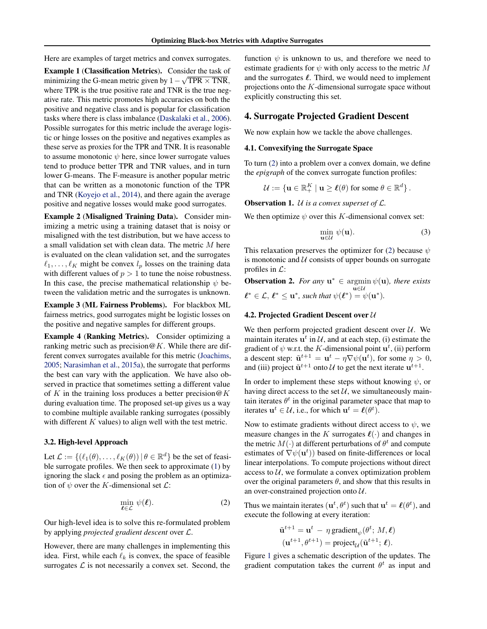<span id="page-2-0"></span>Here are examples of target metrics and convex surrogates.

Example 1 (Classification Metrics). Consider the task of minimizing the G-mean metric given by  $1 - \sqrt{TPR} \times TNR$ , where TPR is the true positive rate and TNR is the true negative rate. This metric promotes high accuracies on both the positive and negative class and is popular for classification tasks where there is class imbalance [\(Daskalaki et al.,](#page-8-0) [2006\)](#page-8-0). Possible surrogates for this metric include the average logistic or hinge losses on the positive and negatives examples as these serve as proxies for the TPR and TNR. It is reasonable to assume monotonic  $\psi$  here, since lower surrogate values tend to produce better TPR and TNR values, and in turn lower G-means. The F-measure is another popular metric that can be written as a monotonic function of the TPR and TNR [\(Koyejo et al.,](#page-8-0) [2014\)](#page-8-0), and there again the average positive and negative losses would make good surrogates.

Example 2 (Misaligned Training Data). Consider minimizing a metric using a training dataset that is noisy or misaligned with the test distribution, but we have access to a small validation set with clean data. The metric M here is evaluated on the clean validation set, and the surrogates  $\ell_1, \ldots, \ell_K$  might be convex  $l_p$  losses on the training data with different values of  $p > 1$  to tune the noise robustness. In this case, the precise mathematical relationship  $\psi$  between the validation metric and the surrogates is unknown.

Example 3 (ML Fairness Problems). For blackbox ML fairness metrics, good surrogates might be logistic losses on the positive and negative samples for different groups.

Example 4 (Ranking Metrics). Consider optimizing a ranking metric such as precision  $\omega K$ . While there are different convex surrogates available for this metric [\(Joachims,](#page-8-0) [2005;](#page-8-0) [Narasimhan et al.,](#page-8-0) [2015a\)](#page-8-0), the surrogate that performs the best can vary with the application. We have also observed in practice that sometimes setting a different value of K in the training loss produces a better precision  $@K$ during evaluation time. The proposed set-up gives us a way to combine multiple available ranking surrogates (possibly with different  $K$  values) to align well with the test metric.

#### 3.2. High-level Approach

Let  $\mathcal{L} := \{(\ell_1(\theta), \dots, \ell_K(\theta)) | \theta \in \mathbb{R}^d\}$  be the set of feasible surrogate profiles. We then seek to approximate [\(1\)](#page-1-0) by ignoring the slack  $\epsilon$  and posing the problem as an optimization of  $\psi$  over the K-dimensional set  $\mathcal{L}$ :

$$
\min_{\boldsymbol{\ell} \in \mathcal{L}} \psi(\boldsymbol{\ell}).\tag{2}
$$

Our high-level idea is to solve this re-formulated problem by applying *projected gradient descent* over L.

However, there are many challenges in implementing this idea. First, while each  $\ell_k$  is convex, the space of feasible surrogates  $\mathcal L$  is not necessarily a convex set. Second, the

function  $\psi$  is unknown to us, and therefore we need to estimate gradients for  $\psi$  with only access to the metric M and the surrogates  $\ell$ . Third, we would need to implement projections onto the  $K$ -dimensional surrogate space without explicitly constructing this set.

# 4. Surrogate Projected Gradient Descent

We now explain how we tackle the above challenges.

# 4.1. Convexifying the Surrogate Space

To turn (2) into a problem over a convex domain, we define the *epigraph* of the convex surrogate function profiles:

 $\mathcal{U} := \{ \mathbf{u} \in \mathbb{R}_+^K \mid \mathbf{u} \geq \boldsymbol{\ell}(\theta) \text{ for some } \theta \in \mathbb{R}^d \}$ .

Observation 1. U *is a convex superset of* L*.*

We then optimize  $\psi$  over this K-dimensional convex set:

$$
\min_{\mathbf{u}\in\mathcal{U}}\psi(\mathbf{u}).\tag{3}
$$

This relaxation preserves the optimizer for (2) because  $\psi$ is monotonic and  $U$  consists of upper bounds on surrogate profiles in  $\mathcal{L}$ :

**Observation 2.** For any  $u^* \in \operatorname{argmin} \psi(u)$ , there exists u∈U  $\ell^* \in \mathcal{L}, \ell^* \leq \mathbf{u}^*$ , such that  $\psi(\ell^*) = \psi(\mathbf{u}^*)$ .

# 4.2. Projected Gradient Descent over  $U$

We then perform projected gradient descent over  $U$ . We maintain iterates  $\mathbf{u}^t$  in  $\mathcal{U}$ , and at each step, (i) estimate the gradient of  $\psi$  w.r.t. the K-dimensional point  $\mathbf{u}^{t}$ , (ii) perform a descent step:  $\tilde{\mathbf{u}}^{t+1} = \mathbf{u}^t - \eta \nabla \psi(\mathbf{u}^t)$ , for some  $\eta > 0$ , and (iii) project  $\tilde{\mathbf{u}}^{t+1}$  onto  $\mathcal{U}$  to get the next iterate  $\mathbf{u}^{t+1}$ .

In order to implement these steps without knowing  $\psi$ , or having direct access to the set  $U$ , we simultaneously maintain iterates  $\theta^t$  in the original parameter space that map to iterates  $\mathbf{u}^t \in \mathcal{U}$ , i.e., for which  $\mathbf{u}^t = \ell(\theta^t)$ .

Now to estimate gradients without direct access to  $\psi$ , we measure changes in the K surrogates  $\ell(\cdot)$  and changes in the metric  $M(\cdot)$  at different perturbations of  $\theta^t$  and compute estimates of  $\nabla \psi(\mathbf{u}^t)$  based on finite-differences or local linear interpolations. To compute projections without direct access to  $U$ , we formulate a convex optimization problem over the original parameters  $\theta$ , and show that this results in an over-constrained projection onto  $U$ .

Thus we maintain iterates  $(\mathbf{u}^t, \theta^t)$  such that  $\mathbf{u}^t = \ell(\theta^t)$ , and execute the following at every iteration:

$$
\tilde{\mathbf{u}}^{t+1} = \mathbf{u}^t - \eta \operatorname{gradient}_{\psi}(\theta^t; M, \ell)
$$

$$
(\mathbf{u}^{t+1}, \theta^{t+1}) = \operatorname{project}_{\mathcal{U}}(\tilde{\mathbf{u}}^{t+1}; \ell).
$$

Figure [1](#page-3-0) gives a schematic description of the updates. The gradient computation takes the current  $\theta^t$  as input and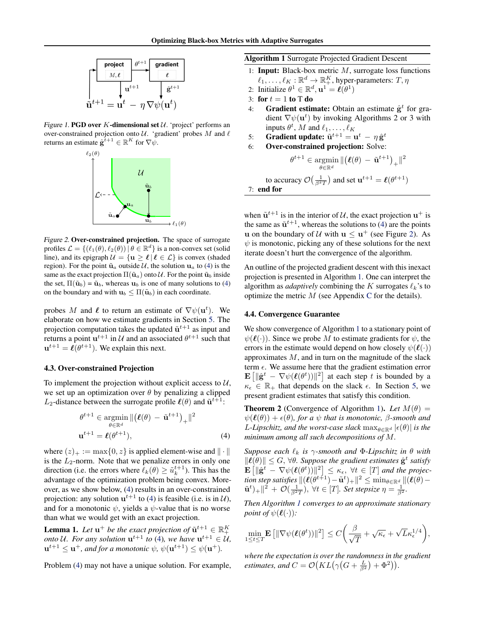<span id="page-3-0"></span>

Figure 1. PGD over  $K$ -dimensional set  $U$ . 'project' performs an over-constrained projection onto  $U$ . 'gradient' probes M and  $\ell$ returns an estimate  $\hat{\mathbf{g}}^{t+1} \in \mathbb{R}^K$  for  $\nabla \psi$ .



Figure 2. Over-constrained projection. The space of surrogate profiles  $\mathcal{L} = \{(\ell_1(\theta), \ell_2(\theta)) | \theta \in \mathbb{R}^d\}$  is a non-convex set (solid line), and its epigraph  $\mathcal{U} = {\mathbf{u} \ge \ell | \ell \in \mathcal{L}}$  is convex (shaded region). For the point  $\tilde{\mathbf{u}}_a$  outside U, the solution  $\mathbf{u}_a$  to (4) is the same as the exact projection  $\Pi(\tilde{\mathbf{u}}_a)$  onto  $\mathcal{U}$ . For the point  $\tilde{\mathbf{u}}_b$  inside the set,  $\Pi(\tilde{\mathbf{u}}_b) = \tilde{\mathbf{u}}_b$ , whereas  $\mathbf{u}_b$  is one of many solutions to (4) on the boundary and with  $\mathbf{u}_b \leq \Pi(\tilde{\mathbf{u}}_b)$  in each coordinate.

probes M and  $\ell$  to return an estimate of  $\nabla \psi(\mathbf{u}^t)$ . We elaborate on how we estimate gradients in Section [5.](#page-4-0) The projection computation takes the updated  $\tilde{\mathbf{u}}^{t+1}$  as input and returns a point  $u^{t+1}$  in U and an associated  $\theta^{t+1}$  such that  $\mathbf{u}^{t+1} = \ell(\theta^{t+1})$ . We explain this next.

# 4.3. Over-constrained Projection

To implement the projection without explicit access to  $U$ , we set up an optimization over  $\theta$  by penalizing a clipped  $L_2$ -distance between the surrogate profile  $\ell(\theta)$  and  $\tilde{\mathbf{u}}^{t+1}$ :

$$
\theta^{t+1} \in \underset{\theta \in \mathbb{R}^d}{\operatorname{argmin}} \, \| (\boldsymbol{\ell}(\theta) - \tilde{\mathbf{u}}^{t+1})_+ \|^2
$$
  

$$
\mathbf{u}^{t+1} = \boldsymbol{\ell}(\theta^{t+1}), \tag{4}
$$

where  $(z)_+ := \max\{0, z\}$  is applied element-wise and  $\|\cdot\|$ is the  $L_2$ -norm. Note that we penalize errors in only one direction (i.e. the errors where  $\ell_k(\theta) \geq \tilde{u}_k^{t+1}$ ). This has the advantage of the optimization problem being convex. Moreover, as we show below, (4) results in an over-constrained projection: any solution  $u^{t+1}$  to (4) is feasible (i.e. is in  $\mathcal{U}$ ), and for a monotonic  $\psi$ , yields a  $\psi$ -value that is no worse than what we would get with an exact projection.

**Lemma 1.** Let  $\mathbf{u}^+$  be the exact projection of  $\tilde{\mathbf{u}}^{t+1} \in \mathbb{R}_+^K$ *onto* U. For any solution  $\mathbf{u}^{t+1}$  to (4), we have  $\mathbf{u}^{t+1} \in \mathcal{U}$ ,  $\mathbf{u}^{t+1} \leq \mathbf{u}^+$ , and for a monotonic  $\psi$ ,  $\psi(\mathbf{u}^{t+1}) \leq \psi(\mathbf{u}^+)$ .

Problem (4) may not have a unique solution. For example,

Algorithm 1 Surrogate Projected Gradient Descent

- 1: **Input:** Black-box metric  $M$ , surrogate loss functions  $\ell_1, \ldots, \ell_K : \mathbb{R}^d \to \mathbb{R}_+^K$ , hyper-parameters:  $T, \eta$
- 2: Initialize  $\theta^1 \in \mathbb{R}^d$ ,  $\mathbf{u}^1 = \ell(\theta^1)$
- 3: for  $t = 1$  to T do
- 4: Gradient estimate: Obtain an estimate  $\hat{\mathbf{g}}^t$  for gradient  $\nabla \psi(\mathbf{u}^t)$  by invoking Algorithms 2 or 3 with inputs  $\theta^t$ , M and  $\ell_1, \ldots, \ell_K$
- 5: Gradient update:  $\tilde{\mathbf{u}}^{t+1} = \mathbf{u}^t \eta \hat{\mathbf{g}}^t$
- 6: Over-constrained projection: Solve:

 $\theta^{t+1} \in \text{argmin}$  $\theta \in \mathbb{R}^d$  $\Vert (\boldsymbol\ell(\theta) \: - \: \tilde{\mathbf{u}}^{t+1})_{+} \Vert^2$ to accuracy  $\mathcal{O}\left(\frac{1}{\beta^2 T}\right)$  and set  $\mathbf{u}^{t+1} = \boldsymbol{\ell}(\theta^{t+1})$ 7: end for

when  $\tilde{\mathbf{u}}^{t+1}$  is in the interior of U, the exact projection  $\mathbf{u}^+$  is the same as  $\tilde{\mathbf{u}}^{t+1}$ , whereas the solutions to (4) are the points **u** on the boundary of U with  $u \leq u^+$  (see Figure 2). As  $\psi$  is monotonic, picking any of these solutions for the next iterate doesn't hurt the convergence of the algorithm.

An outline of the projected gradient descent with this inexact projection is presented in Algorithm 1. One can interpret the algorithm as *adaptively* combining the K surrogates  $\ell_k$ 's to optimize the metric  $M$  (see Appendix [C](#page-24-0) for the details).

# 4.4. Convergence Guarantee

We show convergence of Algorithm 1 to a stationary point of  $\psi(\ell(\cdot))$ . Since we probe M to estimate gradients for  $\psi$ , the errors in the estimate would depend on how closely  $\psi(\ell(\cdot))$ approximates  $M$ , and in turn on the magnitude of the slack term  $\epsilon$ . We assume here that the gradient estimation error  $\mathbf{E} \left[ \|\hat{\mathbf{g}}^t - \nabla \psi(\ell(\theta^t))\|^2 \right]$  at each step t is bounded by a  $\kappa_{\epsilon} \in \mathbb{R}_+$  that depends on the slack  $\epsilon$ . In Section [5,](#page-4-0) we present gradient estimates that satisfy this condition.

**Theorem 2** (Convergence of Algorithm 1). Let  $M(\theta)$  =  $\psi(\ell(\theta)) + \epsilon(\theta)$ *, for a*  $\psi$  *that is monotonic,*  $\beta$ *-smooth and L*-Lipschitz, and the worst-case slack  $\max_{\theta \in \mathbb{R}^d} |\epsilon(\theta)|$  is the *minimum among all such decompositions of* M*.*

*Suppose each*  $\ell_k$  *is*  $\gamma$ *-smooth and*  $\Phi$ *-Lipschitz in*  $\theta$  *with*  $\|\boldsymbol{\ell}(\theta)\| \leq G, \forall \theta$ . Suppose the gradient estimates  $\hat{\mathbf{g}}^t$  satisfy  $\mathbf{E}\left[\|\hat{\mathbf{g}}^t - \nabla \psi(\boldsymbol{\ell}(\theta^t))\|^2\right] \leq \kappa_{\epsilon}, \ \forall t \in [T]$  and the projection step satisfies  $\| (\boldsymbol\ell(\theta^{t+1})-\tilde{\mathbf u}^t)_+\|^2 \leq \min_{\theta \in \mathbb{R}^d} \| (\boldsymbol\ell(\theta) \tilde{\mathbf{u}}^{t}$ )<sub>+</sub> $||^{2} + \mathcal{O}(\frac{1}{\beta^{2}T})$ ,  $\forall t \in [T]$ *. Set stepsize*  $\eta = \frac{1}{\beta^{2}}$ *.* 

*Then Algorithm 1 converges to an approximate stationary point of*  $\psi(\ell(\cdot))$ *:* 

$$
\min_{1\leq t\leq T}{\bf E}\left[\|\nabla \psi(\boldsymbol\ell(\theta^t))\|^2\right]\leq C\bigg(\frac{\beta}{\sqrt{T}}+\sqrt{\kappa_\epsilon}+\sqrt{L}\kappa_\epsilon^{1/4}\bigg),
$$

*where the expectation is over the randomness in the gradient estimates, and*  $C = \mathcal{O}(KL(\gamma(G + \frac{L}{\beta^2}) + \Phi^2)).$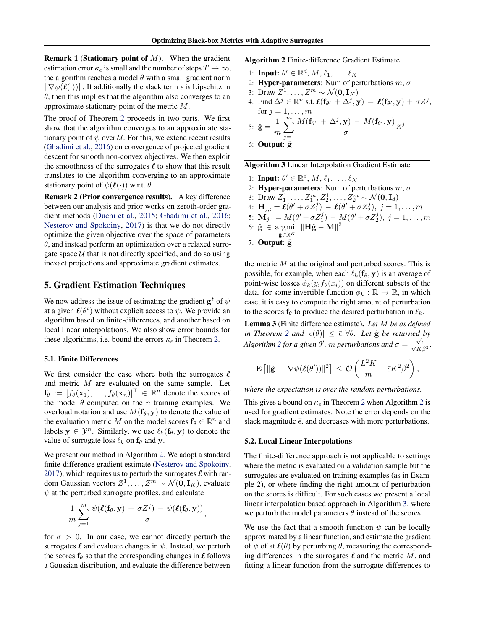<span id="page-4-0"></span>**Remark 1 (Stationary point of M).** When the gradient estimation error  $\kappa_{\epsilon}$  is small and the number of steps  $T \to \infty$ , the algorithm reaches a model  $\theta$  with a small gradient norm  $\|\nabla \psi(\ell(\cdot))\|$ . If additionally the slack term  $\epsilon$  is Lipschitz in  $\theta$ , then this implies that the algorithm also converges to an approximate stationary point of the metric M.

The proof of Theorem [2](#page-3-0) proceeds in two parts. We first show that the algorithm converges to an approximate stationary point of  $\psi$  over  $\mathcal{U}$ . For this, we extend recent results [\(Ghadimi et al.,](#page-8-0) [2016\)](#page-8-0) on convergence of projected gradient descent for smooth non-convex objectives. We then exploit the smoothness of the surrogates  $\ell$  to show that this result translates to the algorithm converging to an approximate stationary point of  $\psi(\ell(\cdot))$  w.r.t.  $\theta$ .

Remark 2 (Prior convergence results). A key difference between our analysis and prior works on zeroth-order gradient methods [\(Duchi et al.,](#page-8-0) [2015;](#page-8-0) [Ghadimi et al.,](#page-8-0) [2016;](#page-8-0) [Nesterov and Spokoiny,](#page-8-0) [2017\)](#page-8-0) is that we do not directly optimize the given objective over the space of parameters  $\theta$ , and instead perform an optimization over a relaxed surrogate space  $U$  that is not directly specified, and do so using inexact projections and approximate gradient estimates.

# 5. Gradient Estimation Techniques

We now address the issue of estimating the gradient  $\hat{\mathbf{g}}^t$  of  $\psi$ at a given  $\ell(\theta^t)$  without explicit access to  $\psi$ . We provide an algorithm based on finite-differences, and another based on local linear interpolations. We also show error bounds for these algorithms, i.e. bound the errors  $\kappa_{\epsilon}$  in Theorem [2.](#page-3-0)

#### 5.1. Finite Differences

We first consider the case where both the surrogates  $\ell$ and metric M are evaluated on the same sample. Let  $f_{\theta} := [f_{\theta}(\mathbf{x}_1), \dots, f_{\theta}(\mathbf{x}_n)]^{\top} \in \mathbb{R}^n$  denote the scores of the model  $\theta$  computed on the *n* training examples. We overload notation and use  $M(f_\theta, y)$  to denote the value of the evaluation metric M on the model scores  $f_{\theta} \in \mathbb{R}^n$  and labels  $y \in \mathcal{Y}^n$ . Similarly, we use  $\ell_k(f_\theta, y)$  to denote the value of surrogate loss  $\ell_k$  on  $f_\theta$  and y.

We present our method in Algorithm 2. We adopt a standard finite-difference gradient estimate [\(Nesterov and Spokoiny,](#page-8-0) [2017\)](#page-8-0), which requires us to perturb the surrogates  $\ell$  with random Gaussian vectors  $Z^1, \ldots, Z^m \sim \mathcal{N}(\mathbf{0}, \mathbf{I}_K)$ , evaluate  $\psi$  at the perturbed surrogate profiles, and calculate

$$
\frac{1}{m}\sum_{j=1}^m \frac{\psi(\boldsymbol{\ell}(\mathbf{f}_\theta,\mathbf{y}) + \sigma Z^j) - \psi(\boldsymbol{\ell}(\mathbf{f}_\theta,\mathbf{y}))}{\sigma},
$$

for  $\sigma > 0$ . In our case, we cannot directly perturb the surrogates  $\ell$  and evaluate changes in  $\psi$ . Instead, we perturb the scores  $f_\theta$  so that the corresponding changes in  $\ell$  follows a Gaussian distribution, and evaluate the difference between Algorithm 2 Finite-difference Gradient Estimate

- 1: Input:  $\theta' \in \mathbb{R}^d$ ,  $M$ ,  $\ell_1, \ldots, \ell_K$
- 2: Hyper-parameters: Num of perturbations  $m, \sigma$
- 3: Draw  $Z^1, \ldots, Z^m \sim \mathcal{N}(\mathbf{0}, \mathbf{I}_K)$
- 4: Find  $\Delta^j \in \mathbb{R}^n$  s.t.  $\ell(f_{\theta'} + \Delta^j, \mathbf{y}) = \ell(f_{\theta'}, \mathbf{y}) + \sigma Z^j$ , for  $j = 1, \ldots, m$ 5:  $\hat{\mathbf{g}} = \frac{1}{n}$ m  $\sum_{i=1}^{m}$  $j=1$  $M(\mathbf{f}_{\theta'} + \Delta^j, \mathbf{y}) - M(\mathbf{f}_{\theta'}, \mathbf{y})$  $\frac{\sigma}{\sigma}$   $Z^j$

6: Output: 
$$
\hat{g}
$$

| <b>Algorithm 3</b> Linear Interpolation Gradient Estimate                                       |
|-------------------------------------------------------------------------------------------------|
| 1: Input: $\theta' \in \mathbb{R}^d$ , $M$ , $\ell_1, \ldots, \ell_K$                           |
| 2: <b>Hyper-parameters</b> : Num of perturbations $m, \sigma$                                   |
| 3: Draw $Z_1^1, \ldots, Z_1^m, Z_2^1, \ldots, Z_2^m \sim \mathcal{N}(\mathbf{0}, \mathbf{I}_d)$ |
| 4: $\mathbf{H}_{j,:} = \ell(\theta' + \sigma Z_1^j) - \ell(\theta' + \sigma Z_2^j), j = 1, , m$ |

- 5:  $\mathbf{M}_{j,:} = M(\theta' + \sigma Z_1^j) M(\theta' + \sigma Z_2^j), j = 1, ..., m$
- 6:  $\hat{\mathbf{g}} \in \text{argmin} \|\mathbf{H}\hat{\mathbf{g}} \mathbf{M}\|^2$
- $\hat{\mathbf{g}}$ ∈ $\mathbb{R}^K$ 7: Output:  $\hat{\mathbf{g}}$

the metric  $M$  at the original and perturbed scores. This is possible, for example, when each  $\ell_k(f_\theta, y)$  is an average of point-wise losses  $\phi_k(y_i f_\theta(x_i))$  on different subsets of the data, for some invertible function  $\phi_k : \mathbb{R} \to \mathbb{R}$ , in which case, it is easy to compute the right amount of perturbation to the scores  $f_{\theta}$  to produce the desired perturbation in  $\ell_k$ .

Lemma 3 (Finite difference estimate). *Let* M *be as defined*  $\int$ *in Theorem* [2](#page-3-0) *and*  $|\epsilon(\theta)| \leq \bar{\epsilon}, \forall \theta$ . Let  $\hat{g}$  be returned by *Algorithm* 2 *for a given*  $\theta'$ *, m perturbations and*  $\sigma = \frac{\sqrt{\epsilon}}{\sqrt{K\beta^2}}$ *.* 

$$
\mathbf{E}\left[\|\hat{\mathbf{g}} - \nabla \psi(\boldsymbol{\ell}(\theta'))\|^2\right] \, \leq \, \mathcal{O}\left(\frac{L^2K}{m} + \bar{\epsilon}K^2\beta^2\right),
$$

*where the expectation is over the random perturbations.*

This gives a bound on  $\kappa_{\epsilon}$  in Theorem [2](#page-3-0) when Algorithm 2 is used for gradient estimates. Note the error depends on the slack magnitude  $\bar{\epsilon}$ , and decreases with more perturbations.

# 5.2. Local Linear Interpolations

The finite-difference approach is not applicable to settings where the metric is evaluated on a validation sample but the surrogates are evaluated on training examples (as in Example 2), or where finding the right amount of perturbation on the scores is difficult. For such cases we present a local linear interpolation based approach in Algorithm 3, where we perturb the model parameters  $\theta$  instead of the scores.

We use the fact that a smooth function  $\psi$  can be locally approximated by a linear function, and estimate the gradient of  $\psi$  of at  $\ell(\theta)$  by perturbing  $\theta$ , measuring the corresponding differences in the surrogates  $\ell$  and the metric M, and fitting a linear function from the surrogate differences to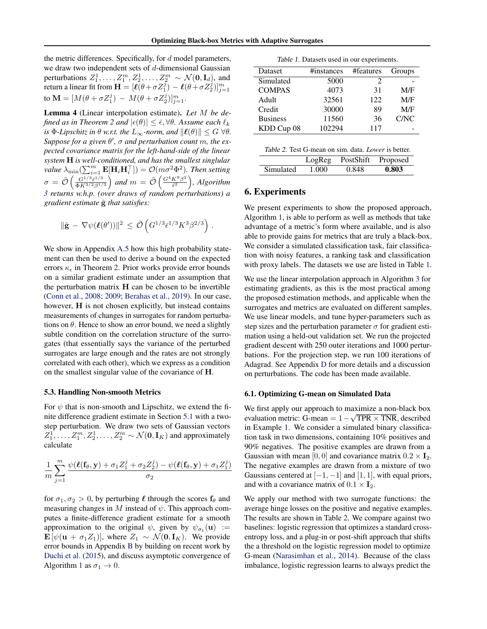<span id="page-5-0"></span>the metric differences. Specifically, for  $d$  model parameters, we draw two independent sets of  $d$ -dimensional Gaussian perturbations  $Z_1^1, \ldots, Z_1^m, Z_2^1, \ldots, Z_2^m \sim \mathcal{N}(\mathbf{0}, \mathbf{I}_d)$ , and return a linear fit from  $\mathbf{H} = [\ell(\theta + \sigma Z_1^j) - \ell(\theta + \sigma Z_2^j)]_{j=1}^m$ to  $\mathbf{M} = [M(\theta + \sigma Z_1^j) - M(\theta + \sigma Z_2^j)]_{j=1}^m$ .

Lemma 4 (Linear interpolation estimate). *Let* M *be defined as in Theorem* [2](#page-3-0) *and*  $|\epsilon(\theta)| \leq \bar{\epsilon}, \forall \theta$ . Assume each  $\ell_k$ *is*  $\Phi$ -*Lipschitz in*  $\theta$  *w.r.t. the*  $L_{\infty}$ -norm, and  $\|\ell(\theta)\| \leq G \ \forall \theta$ .  $Suppose for a given  $\theta'$ ,  $\sigma$  and perturbation count m, the ex$ *pected covariance matrix for the left-hand-side of the linear system* H *is well-conditioned, and has the smallest singlular value*  $\lambda_{\min}(\sum_{i=1}^{m} \mathbf{E}[\mathbf{H}_{i}\mathbf{H}_{i}^{\top}]) = \mathcal{O}(m\sigma^{2}\Phi^{2})$ . Then setting  $\sigma = \tilde{\mathcal{O}}\left(\frac{G^{1/3}\bar{\epsilon}^{1/3}}{\Phi K^{3/2} \beta^{1/3}}\right)$  $\frac{G^{1/3} \bar{\epsilon}^{1/3}}{\Phi K^{3/2} \beta^{1/3}}$  and  $m = \tilde{\mathcal{O}} \left( \frac{G^4 K^9 \beta^2}{\bar{\epsilon}^2} \right)$  $\frac{K^9\beta^2}{\bar{\epsilon}^2}\Big)$ , Algorithm *[3](#page-4-0) returns w.h.p. (over draws of random perturbations) a gradient estimate* gˆ *that satisfies:*

$$
\|\hat{\mathbf{g}} - \nabla \psi(\boldsymbol{\ell}(\theta'))\|^2 \leq \tilde{\mathcal{O}}\left(G^{1/3}\bar{\epsilon}^{1/3}K^3\beta^{2/3}\right).
$$

We show in Appendix [A.5](#page-18-0) how this high probability statement can then be used to derive a bound on the expected errors  $\kappa_{\epsilon}$  in Theorem [2.](#page-3-0) Prior works provide error bounds on a similar gradient estimate under an assumption that the perturbation matrix  $H$  can be chosen to be invertible [\(Conn et al.,](#page-8-0) [2008;](#page-8-0) [2009;](#page-8-0) [Berahas et al.,](#page-8-0) [2019\)](#page-8-0). In our case, however, H is not chosen explicitly, but instead contains measurements of changes in surrogates for random perturbations on  $\theta$ . Hence to show an error bound, we need a slightly subtle condition on the correlation structure of the surrogates (that essentially says the variance of the perturbed surrogates are large enough and the rates are not strongly correlated with each other), which we express as a condition on the smallest singular value of the covariance of H.

#### 5.3. Handling Non-smooth Metrics

For  $\psi$  that is non-smooth and Lipschitz, we extend the finite difference gradient estimate in Section [5.1](#page-4-0) with a twostep perturbation. We draw two sets of Gaussian vectors  $Z_1^1, \ldots, Z_1^m, Z_2^1, \ldots, Z_2^m \sim \mathcal{N}(\mathbf{0}, \mathbf{I}_K)$  and approximately calculate

$$
\frac{1}{m}\sum_{j=1}^m \frac{\psi(\boldsymbol\ell(\mathbf{f}_\theta,\mathbf{y})+\sigma_1 Z_1^j+\sigma_2 Z_2^j)-\psi(\boldsymbol\ell(\mathbf{f}_\theta,\mathbf{y})+\sigma_1 Z_1^j)}{\sigma_2}
$$

for  $\sigma_1, \sigma_2 > 0$ , by perturbing  $\ell$  through the scores  $f_\theta$  and measuring changes in M instead of  $\psi$ . This approach computes a finite-difference gradient estimate for a smooth approximation to the original  $\psi$ , given by  $\psi_{\sigma_1}(\mathbf{u}) :=$  $\mathbf{E} [\psi(\mathbf{u} + \sigma_1 Z_1)]$ , where  $Z_1 \sim \mathcal{N}(\mathbf{0}, \mathbf{I}_K)$ . We provide error bounds in Appendix [B](#page-22-0) by building on recent work by [Duchi et al.](#page-8-0) [\(2015\)](#page-8-0), and discuss asymptotic convergence of Algorithm [1](#page-3-0) as  $\sigma_1 \rightarrow 0$ .

Table 1. Datasets used in our experiments.

| Dataset         | #instances | #features                   | Groups |
|-----------------|------------|-----------------------------|--------|
| Simulated       | 5000       | $\mathcal{D}_{\mathcal{A}}$ |        |
| <b>COMPAS</b>   | 4073       | 31                          | M/F    |
| Adult           | 32561      | 122                         | M/F    |
| Credit          | 30000      | 89                          | M/F    |
| <b>Business</b> | 11560      | 36                          | C/NC   |
| KDD Cup 08      | 102294     | 117                         |        |
|                 |            |                             |        |

|           | LogReg |       | PostShift Proposed |
|-----------|--------|-------|--------------------|
| Simulated | 1.000  | 0.848 | 0.803              |

# 6. Experiments

We present experiments to show the proposed approach, Algorithm [1,](#page-3-0) is able to perform as well as methods that take advantage of a metric's form where available, and is also able to provide gains for metrics that are truly a black-box. We consider a simulated classification task, fair classification with noisy features, a ranking task and classification with proxy labels. The datasets we use are listed in Table 1.

We use the linear interpolation approach in Algorithm [3](#page-4-0) for estimating gradients, as this is the most practical among the proposed estimation methods, and applicable when the surrogates and metrics are evaluated on different samples. We use linear models, and tune hyper-parameters such as step sizes and the perturbation parameter  $\sigma$  for gradient estimation using a held-out validation set. We run the projected gradient descent with 250 outer iterations and 1000 perturbations. For the projection step, we run 100 iterations of Adagrad. See Appendix [D](#page-25-0) for more details and a discussion on perturbations. The code has been made available.

#### 6.1. Optimizing G-mean on Simulated Data

We first apply our approach to maximize a non-black box evaluation metric: G-mean =  $1 - \sqrt{TPR \times TNR}$ , described in Example [1.](#page-2-0) We consider a simulated binary classification task in two dimensions, containing 10% positives and 90% negatives. The positive examples are drawn from a Gaussian with mean [0, 0] and covariance matrix  $0.2 \times I_2$ . The negative examples are drawn from a mixture of two Gaussians centered at  $[-1, -1]$  and  $[1, 1]$ , with equal priors, and with a covariance matrix of  $0.1 \times I_2$ .

We apply our method with two surrogate functions: the average hinge losses on the positive and negative examples. The results are shown in Table 2. We compare against two baselines: logistic regression that optimizes a standard crossentropy loss, and a plug-in or post-shift approach that shifts the a threshold on the logistic regression model to optimize G-mean [\(Narasimhan et al.,](#page-8-0) [2014\)](#page-8-0). Because of the class imbalance, logistic regression learns to always predict the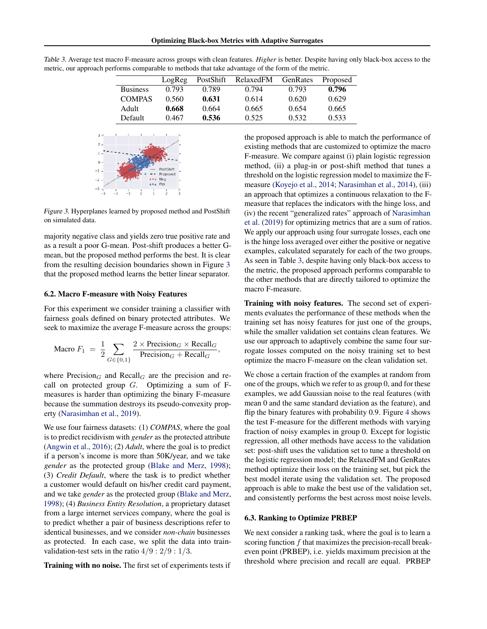|                 | LogReg | <b>PostShift</b> | RelaxedFM | GenRates | Proposed |
|-----------------|--------|------------------|-----------|----------|----------|
| <b>Business</b> | 0.793  | 0.789            | 0.794     | 0.793    | 0.796    |
| <b>COMPAS</b>   | 0.560  | 0.631            | 0.614     | 0.620    | 0.629    |
| Adult           | 0.668  | 0.664            | 0.665     | 0.654    | 0.665    |
| Default         | 0.467  | 0.536            | 0.525     | 0.532    | 0.533    |

,

<span id="page-6-0"></span>Table 3. Average test macro F-measure across groups with clean features. *Higher* is better. Despite having only black-box access to the metric, our approach performs comparable to methods that take advantage of the form of the metric.



Figure 3. Hyperplanes learned by proposed method and PostShift on simulated data.

majority negative class and yields zero true positive rate and as a result a poor G-mean. Post-shift produces a better Gmean, but the proposed method performs the best. It is clear from the resulting decision boundaries shown in Figure 3 that the proposed method learns the better linear separator.

#### 6.2. Macro F-measure with Noisy Features

For this experiment we consider training a classifier with fairness goals defined on binary protected attributes. We seek to maximize the average F-measure across the groups:

$$
\text{Macro } F_1 = \frac{1}{2} \sum_{G \in \{0,1\}} \frac{2 \times \text{Precision}_G \times \text{Recall}_G}{\text{Precision}_G + \text{Recall}_G}
$$

where  $Precision<sub>G</sub>$  and  $Recall<sub>G</sub>$  are the precision and recall on protected group  $G$ . Optimizing a sum of Fmeasures is harder than optimizing the binary F-measure because the summation destroys its pseudo-convexity property [\(Narasimhan et al.,](#page-8-0) [2019\)](#page-8-0).

We use four fairness datasets: (1) *COMPAS*, where the goal is to predict recidivism with *gender* as the protected attribute [\(Angwin et al.,](#page-8-0) [2016\)](#page-8-0); (2) *Adult*, where the goal is to predict if a person's income is more than 50K/year, and we take *gender* as the protected group [\(Blake and Merz,](#page-8-0) [1998\)](#page-8-0); (3) *Credit Default*, where the task is to predict whether a customer would default on his/her credit card payment, and we take *gender* as the protected group [\(Blake and Merz,](#page-8-0) [1998\)](#page-8-0); (4) *Business Entity Resolution*, a proprietary dataset from a large internet services company, where the goal is to predict whether a pair of business descriptions refer to identical businesses, and we consider *non-chain* businesses as protected. In each case, we split the data into trainvalidation-test sets in the ratio  $4/9: 2/9: 1/3$ .

Training with no noise. The first set of experiments tests if

the proposed approach is able to match the performance of existing methods that are customized to optimize the macro F-measure. We compare against (i) plain logistic regression method, (ii) a plug-in or post-shift method that tunes a threshold on the logistic regression model to maximize the Fmeasure [\(Koyejo et al.,](#page-8-0) [2014;](#page-8-0) [Narasimhan et al.,](#page-8-0) [2014\)](#page-8-0), (iii) an approach that optimizes a continuous relaxation to the Fmeasure that replaces the indicators with the hinge loss, and (iv) the recent "generalized rates" approach of [Narasimhan](#page-8-0) [et al.](#page-8-0) [\(2019\)](#page-8-0) for optimizing metrics that are a sum of ratios. We apply our approach using four surrogate losses, each one is the hinge loss averaged over either the positive or negative examples, calculated separately for each of the two groups. As seen in Table 3, despite having only black-box access to the metric, the proposed approach performs comparable to the other methods that are directly tailored to optimize the macro F-measure.

Training with noisy features. The second set of experiments evaluates the performance of these methods when the training set has noisy features for just one of the groups, while the smaller validation set contains clean features. We use our approach to adaptively combine the same four surrogate losses computed on the noisy training set to best optimize the macro F-measure on the clean validation set.

We chose a certain fraction of the examples at random from one of the groups, which we refer to as group 0, and for these examples, we add Gaussian noise to the real features (with mean 0 and the same standard deviation as the feature), and flip the binary features with probability 0.9. Figure [4](#page-7-0) shows the test F-measure for the different methods with varying fraction of noisy examples in group 0. Except for logistic regression, all other methods have access to the validation set: post-shift uses the validation set to tune a threshold on the logistic regression model; the RelaxedFM and GenRates method optimize their loss on the training set, but pick the best model iterate using the validation set. The proposed approach is able to make the best use of the validation set, and consistently performs the best across most noise levels.

#### 6.3. Ranking to Optimize PRBEP

We next consider a ranking task, where the goal is to learn a scoring function  $f$  that maximizes the precision-recall breakeven point (PRBEP), i.e. yields maximum precision at the threshold where precision and recall are equal. PRBEP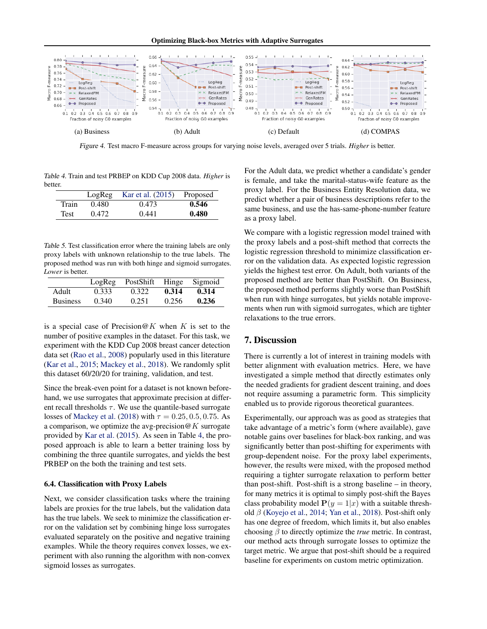Optimizing Black-box Metrics with Adaptive Surrogates

<span id="page-7-0"></span>

Figure 4. Test macro F-measure across groups for varying noise levels, averaged over 5 trials. *Higher* is better.

Table 4. Train and test PRBEP on KDD Cup 2008 data. *Higher* is better.

|             | LogReg | Kar et al. (2015) | Proposed |
|-------------|--------|-------------------|----------|
| Train       | 0.480  | 0.473             | 0.546    |
| <b>Test</b> | 0.472  | 0.441             | 0.480    |

Table 5. Test classification error where the training labels are only proxy labels with unknown relationship to the true labels. The proposed method was run with both hinge and sigmoid surrogates. *Lower* is better.

|                 |       | LogReg PostShift Hinge Sigmoid |       |       |
|-----------------|-------|--------------------------------|-------|-------|
| Adult           | 0.333 | 0.322                          | 0.314 | 0.314 |
| <b>Business</b> | 0.340 | 0.251                          | 0.256 | 0.236 |

is a special case of Precision@K when K is set to the number of positive examples in the dataset. For this task, we experiment with the KDD Cup 2008 breast cancer detection data set [\(Rao et al.,](#page-9-0) [2008\)](#page-9-0) popularly used in this literature [\(Kar et al.,](#page-8-0) [2015;](#page-8-0) [Mackey et al.,](#page-8-0) [2018\)](#page-8-0). We randomly split this dataset 60/20/20 for training, validation, and test.

Since the break-even point for a dataset is not known beforehand, we use surrogates that approximate precision at different recall thresholds  $\tau$ . We use the quantile-based surrogate losses of [Mackey et al.](#page-8-0) [\(2018\)](#page-8-0) with  $\tau = 0.25, 0.5, 0.75$ . As a comparison, we optimize the avg-precision  $@K$  surrogate provided by [Kar et al.](#page-8-0) [\(2015\)](#page-8-0). As seen in Table 4, the proposed approach is able to learn a better training loss by combining the three quantile surrogates, and yields the best PRBEP on the both the training and test sets.

# 6.4. Classification with Proxy Labels

Next, we consider classification tasks where the training labels are proxies for the true labels, but the validation data has the true labels. We seek to minimize the classification error on the validation set by combining hinge loss surrogates evaluated separately on the positive and negative training examples. While the theory requires convex losses, we experiment with also running the algorithm with non-convex sigmoid losses as surrogates.

For the Adult data, we predict whether a candidate's gender is female, and take the marital-status-wife feature as the proxy label. For the Business Entity Resolution data, we predict whether a pair of business descriptions refer to the same business, and use the has-same-phone-number feature as a proxy label.

We compare with a logistic regression model trained with the proxy labels and a post-shift method that corrects the logistic regression threshold to minimize classification error on the validation data. As expected logistic regression yields the highest test error. On Adult, both variants of the proposed method are better than PostShift. On Business, the proposed method performs slightly worse than PostShift when run with hinge surrogates, but yields notable improvements when run with sigmoid surrogates, which are tighter relaxations to the true errors.

# 7. Discussion

There is currently a lot of interest in training models with better alignment with evaluation metrics. Here, we have investigated a simple method that directly estimates only the needed gradients for gradient descent training, and does not require assuming a parametric form. This simplicity enabled us to provide rigorous theoretical guarantees.

Experimentally, our approach was as good as strategies that take advantage of a metric's form (where available), gave notable gains over baselines for black-box ranking, and was significantly better than post-shifting for experiments with group-dependent noise. For the proxy label experiments, however, the results were mixed, with the proposed method requiring a tighter surrogate relaxation to perform better than post-shift. Post-shift is a strong baseline – in theory, for many metrics it is optimal to simply post-shift the Bayes class probability model  $P(y = 1|x)$  with a suitable threshold  $\beta$  [\(Koyejo et al.,](#page-8-0) [2014;](#page-8-0) [Yan et al.,](#page-9-0) [2018\)](#page-9-0). Post-shift only has one degree of freedom, which limits it, but also enables choosing β to directly optimize the *true* metric. In contrast, our method acts through surrogate losses to optimize the target metric. We argue that post-shift should be a required baseline for experiments on custom metric optimization.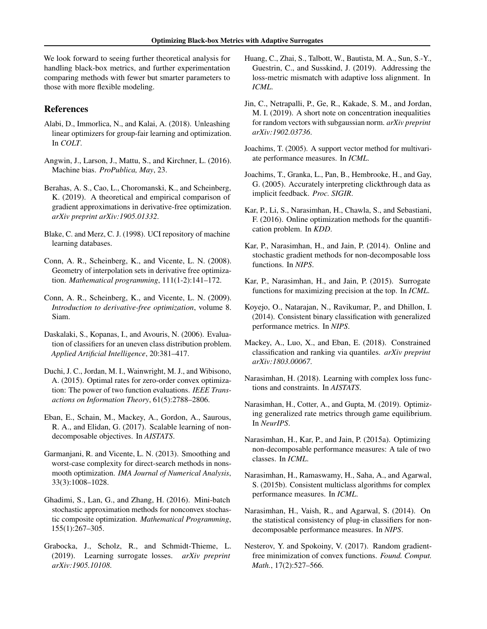<span id="page-8-0"></span>We look forward to seeing further theoretical analysis for handling black-box metrics, and further experimentation comparing methods with fewer but smarter parameters to those with more flexible modeling.

# References

- Alabi, D., Immorlica, N., and Kalai, A. (2018). Unleashing linear optimizers for group-fair learning and optimization. In *COLT*.
- Angwin, J., Larson, J., Mattu, S., and Kirchner, L. (2016). Machine bias. *ProPublica, May*, 23.
- Berahas, A. S., Cao, L., Choromanski, K., and Scheinberg, K. (2019). A theoretical and empirical comparison of gradient approximations in derivative-free optimization. *arXiv preprint arXiv:1905.01332*.
- Blake, C. and Merz, C. J. (1998). UCI repository of machine learning databases.
- Conn, A. R., Scheinberg, K., and Vicente, L. N. (2008). Geometry of interpolation sets in derivative free optimization. *Mathematical programming*, 111(1-2):141–172.
- Conn, A. R., Scheinberg, K., and Vicente, L. N. (2009). *Introduction to derivative-free optimization*, volume 8. Siam.
- Daskalaki, S., Kopanas, I., and Avouris, N. (2006). Evaluation of classifiers for an uneven class distribution problem. *Applied Artificial Intelligence*, 20:381–417.
- Duchi, J. C., Jordan, M. I., Wainwright, M. J., and Wibisono, A. (2015). Optimal rates for zero-order convex optimization: The power of two function evaluations. *IEEE Transactions on Information Theory*, 61(5):2788–2806.
- Eban, E., Schain, M., Mackey, A., Gordon, A., Saurous, R. A., and Elidan, G. (2017). Scalable learning of nondecomposable objectives. In *AISTATS*.
- Garmanjani, R. and Vicente, L. N. (2013). Smoothing and worst-case complexity for direct-search methods in nonsmooth optimization. *IMA Journal of Numerical Analysis*, 33(3):1008–1028.
- Ghadimi, S., Lan, G., and Zhang, H. (2016). Mini-batch stochastic approximation methods for nonconvex stochastic composite optimization. *Mathematical Programming*, 155(1):267–305.
- Grabocka, J., Scholz, R., and Schmidt-Thieme, L. (2019). Learning surrogate losses. *arXiv preprint arXiv:1905.10108*.
- Huang, C., Zhai, S., Talbott, W., Bautista, M. A., Sun, S.-Y., Guestrin, C., and Susskind, J. (2019). Addressing the loss-metric mismatch with adaptive loss alignment. In *ICML*.
- Jin, C., Netrapalli, P., Ge, R., Kakade, S. M., and Jordan, M. I. (2019). A short note on concentration inequalities for random vectors with subgaussian norm. *arXiv preprint arXiv:1902.03736*.
- Joachims, T. (2005). A support vector method for multivariate performance measures. In *ICML*.
- Joachims, T., Granka, L., Pan, B., Hembrooke, H., and Gay, G. (2005). Accurately interpreting clickthrough data as implicit feedback. *Proc. SIGIR*.
- Kar, P., Li, S., Narasimhan, H., Chawla, S., and Sebastiani, F. (2016). Online optimization methods for the quantification problem. In *KDD*.
- Kar, P., Narasimhan, H., and Jain, P. (2014). Online and stochastic gradient methods for non-decomposable loss functions. In *NIPS*.
- Kar, P., Narasimhan, H., and Jain, P. (2015). Surrogate functions for maximizing precision at the top. In *ICML*.
- Koyejo, O., Natarajan, N., Ravikumar, P., and Dhillon, I. (2014). Consistent binary classification with generalized performance metrics. In *NIPS*.
- Mackey, A., Luo, X., and Eban, E. (2018). Constrained classification and ranking via quantiles. *arXiv preprint arXiv:1803.00067*.
- Narasimhan, H. (2018). Learning with complex loss functions and constraints. In *AISTATS*.
- Narasimhan, H., Cotter, A., and Gupta, M. (2019). Optimizing generalized rate metrics through game equilibrium. In *NeurIPS*.
- Narasimhan, H., Kar, P., and Jain, P. (2015a). Optimizing non-decomposable performance measures: A tale of two classes. In *ICML*.
- Narasimhan, H., Ramaswamy, H., Saha, A., and Agarwal, S. (2015b). Consistent multiclass algorithms for complex performance measures. In *ICML*.
- Narasimhan, H., Vaish, R., and Agarwal, S. (2014). On the statistical consistency of plug-in classifiers for nondecomposable performance measures. In *NIPS*.
- Nesterov, Y. and Spokoiny, V. (2017). Random gradientfree minimization of convex functions. *Found. Comput. Math.*, 17(2):527–566.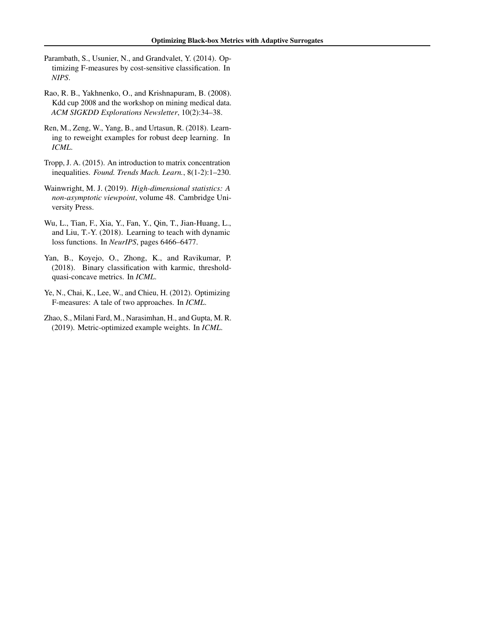- <span id="page-9-0"></span>Parambath, S., Usunier, N., and Grandvalet, Y. (2014). Optimizing F-measures by cost-sensitive classification. In *NIPS*.
- Rao, R. B., Yakhnenko, O., and Krishnapuram, B. (2008). Kdd cup 2008 and the workshop on mining medical data. *ACM SIGKDD Explorations Newsletter*, 10(2):34–38.
- Ren, M., Zeng, W., Yang, B., and Urtasun, R. (2018). Learning to reweight examples for robust deep learning. In *ICML*.
- Tropp, J. A. (2015). An introduction to matrix concentration inequalities. *Found. Trends Mach. Learn.*, 8(1-2):1–230.
- Wainwright, M. J. (2019). *High-dimensional statistics: A non-asymptotic viewpoint*, volume 48. Cambridge University Press.
- Wu, L., Tian, F., Xia, Y., Fan, Y., Qin, T., Jian-Huang, L., and Liu, T.-Y. (2018). Learning to teach with dynamic loss functions. In *NeurIPS*, pages 6466–6477.
- Yan, B., Koyejo, O., Zhong, K., and Ravikumar, P. (2018). Binary classification with karmic, thresholdquasi-concave metrics. In *ICML*.
- Ye, N., Chai, K., Lee, W., and Chieu, H. (2012). Optimizing F-measures: A tale of two approaches. In *ICML*.
- Zhao, S., Milani Fard, M., Narasimhan, H., and Gupta, M. R. (2019). Metric-optimized example weights. In *ICML*.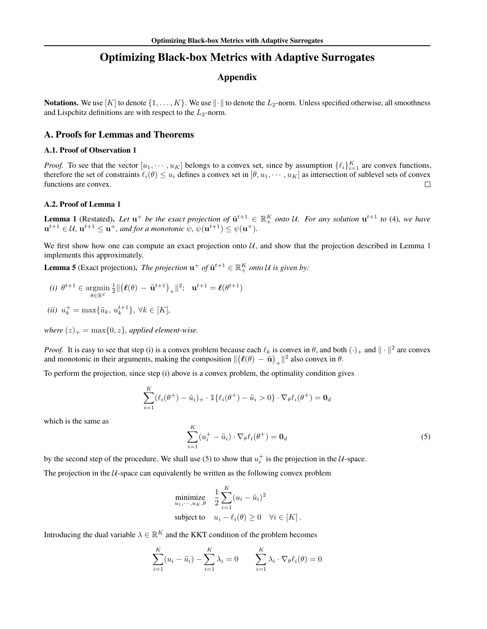# Optimizing Black-box Metrics with Adaptive Surrogates

# Appendix

<span id="page-10-0"></span>**Notations.** We use  $[K]$  to denote  $\{1, \ldots, K\}$ . We use  $\|\cdot\|$  to denote the  $L_2$ -norm. Unless specified otherwise, all smoothness and Lispchitz definitions are with respect to the  $L_2$ -norm.

# A. Proofs for Lemmas and Theorems

#### A.1. Proof of Observation [1](#page-2-0)

*Proof.* To see that the vector  $[u_1, \dots, u_K]$  belongs to a convex set, since by assumption  $\{\ell_i\}_{i=1}^K$  are convex functions, therefore the set of constraints  $\ell_i(\theta) \leq u_i$  defines a convex set in  $[\theta, u_1, \dots, u_K]$  as intersection of sublevel sets of convex functions are convex.  $\Box$ 

# A.2. Proof of Lemma [1](#page-3-0)

**Lemma [1](#page-3-0)** (Restated). Let  $u^+$  be the exact projection of  $\tilde{u}^{t+1} \in \mathbb{R}_+^K$  onto U. For any solution  $u^{t+1}$  to [\(4\)](#page-3-0), we have  $\mathbf{u}^{t+1} \in \mathcal{U}$ ,  $\mathbf{u}^{t+1} \leq \mathbf{u}^+$ , and for a monotonic  $\psi$ ,  $\psi(\mathbf{u}^{t+1}) \leq \psi(\mathbf{u}^+)$ .

We first show how one can compute an exact projection onto  $U$ , and show that the projection described in Lemma [1](#page-3-0) implements this approximately.

**Lemma 5** (Exact projection). *The projection*  $\mathbf{u}^+$  *of*  $\tilde{\mathbf{u}}^{t+1} \in \mathbb{R}_+^K$  *onto* U *is given by:* 

(i) 
$$
\theta^{t+1} \in \operatorname*{argmin}_{\theta \in \mathbb{R}^d} \frac{1}{2} \Vert (\ell(\theta) - \tilde{\mathbf{u}}^{t+1})_+ \Vert^2; \quad \mathbf{u}^{t+1} = \ell(\theta^{t+1})
$$

(*ii*) 
$$
u_k^+ = \max{\{\tilde{u}_k, u_k^{t+1}\}}, \forall k \in [K],
$$

*where*  $(z)_+ = \max\{0, z\}$ *, applied element-wise.* 

*Proof.* It is easy to see that step (i) is a convex problem because each  $\ell_k$  is convex in  $\theta$ , and both  $(\cdot)_+$  and  $\|\cdot\|^2$  are convex and monotonic in their arguments, making the composition  $\|(\ell(\theta) - \tilde{\mathbf{u}})_+\|^2$  also convex in  $\theta$ .

To perform the projection, since step (i) above is a convex problem, the optimality condition gives

$$
\sum_{i=1}^K (\ell_i(\theta^+) - \tilde{u}_i)_+ \cdot \mathbb{1}\{\ell_i(\theta^+) - \tilde{u}_i > 0\} \cdot \nabla_{\theta} \ell_i(\theta^+) = \mathbf{0}_d
$$

which is the same as

$$
\sum_{i=1}^{K} (u_i^+ - \tilde{u}_i) \cdot \nabla_{\theta} \ell_i(\theta^+) = \mathbf{0}_d
$$
\n(5)

by the second step of the procedure. We shall use (5) to show that  $u_i^+$  is the projection in the U-space.

The projection in the  $U$ -space can equivalently be written as the following convex problem

minimize  
\n
$$
\sum_{u_1,\dots,u_K,\theta}^{1} \quad \frac{1}{2} \sum_{i=1}^K (u_i - \tilde{u}_i)^2
$$
\nsubject to  
\n
$$
u_i - \ell_i(\theta) \geq 0 \quad \forall i \in [K].
$$

Introducing the dual variable  $\lambda \in \mathbb{R}^K$  and the KKT condition of the problem becomes

$$
\sum_{i=1}^{K} (u_i - \tilde{u}_i) - \sum_{i=1}^{K} \lambda_i = 0 \qquad \sum_{i=1}^{K} \lambda_i \cdot \nabla_{\theta} \ell_i(\theta) = 0
$$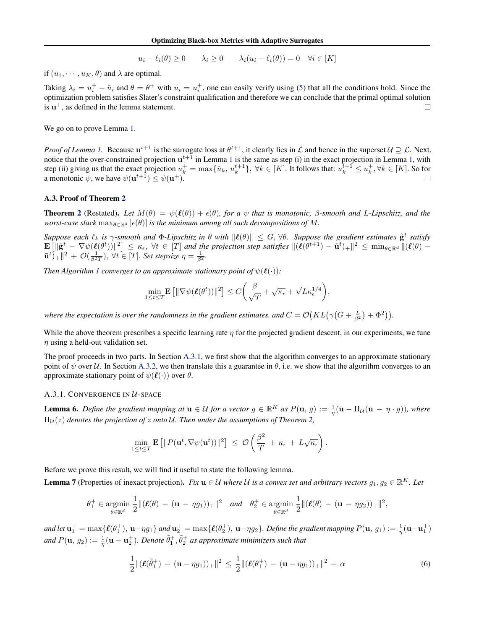$$
u_i - \ell_i(\theta) \ge 0 \qquad \lambda_i \ge 0 \qquad \lambda_i(u_i - \ell_i(\theta)) = 0 \quad \forall i \in [K]
$$

<span id="page-11-0"></span>if  $(u_1, \dots, u_K, \theta)$  and  $\lambda$  are optimal.

Taking  $\lambda_i = u_i^+ - \tilde{u}_i$  and  $\theta = \theta^+$  with  $u_i = u_i^+$ , one can easily verify using [\(5\)](#page-10-0) that all the conditions hold. Since the optimization problem satisfies Slater's constraint qualification and therefore we can conclude that the primal optimal solution is  $u^+$ , as defined in the lemma statement.  $\Box$ 

We go on to prove Lemma [1.](#page-3-0)

*Proof of Lemma 1*. Because  $u^{t+1}$  is the surrogate loss at  $\theta^{t+1}$ , it clearly lies in  $\mathcal L$  and hence in the superset  $\mathcal U \supseteq \mathcal L$ . Next, notice that the over-constrained projection  $u^{t+1}$  $u^{t+1}$  $u^{t+1}$  in Lemma 1 is the same as step (i) in the exact projection in Lemma [1,](#page-3-0) with step (ii) giving us that the exact projection  $u_k^+ = \max\{\tilde{u}_k, u_k^{t+1}\}, \forall k \in [K]$ . It follows that:  $u_k^{\tilde{t}+1} \leq u_k^+, \forall k \in [K]$ . So for a monotonic  $\psi$ , we have  $\psi(\mathbf{u}^{t+1}) \leq \psi(\mathbf{u}^+)$ .

# A.3. Proof of Theorem [2](#page-3-0)

**Theorem [2](#page-3-0)** (Restated). Let  $M(\theta) = \psi(\ell(\theta)) + \epsilon(\theta)$ , for a  $\psi$  that is monotonic,  $\beta$ -smooth and L-Lipschitz, and the *worst-case slack*  $\max_{\theta \in \mathbb{R}^d} |\epsilon(\theta)|$  *is the minimum among all such decompositions of* M.

 $Suppose\ each\ \ell_k\ is\ \gamma\text{-smooth}\ and\ \Phi\text{-Lipschitz}\ in\ \theta\ with\ \|\ell(\theta)\|\ \le\ G,\ \forall \theta.\ \ Suppose\ the\ gradient\ estimates\ \hat{\mathbf{g}}^t\ satisfy$  $\mathbf{E}\left[\|\hat{\mathbf{g}}^{t} - \nabla \psi(\boldsymbol{\ell}(\theta^{t}))\|^{2}\right] \leq \kappa_{\epsilon}, \ \forall t \in [T]$  and the projection step satisfies  $\|(\boldsymbol{\ell}(\theta^{t+1}) - \tilde{\mathbf{u}}^{t})_{+}\|^{2} \leq \min_{\theta \in \mathbb{R}^{d}} \|(\boldsymbol{\ell}(\theta) - \theta^{t})_{+}\|^{2}$  $\tilde{\mathbf{u}}^{t}\big|_{+}^{2}$  +  $\mathcal{O}(\frac{1}{\beta^{2}T})$ ,  $\forall t \in [T]$ *. Set stepsize*  $\eta = \frac{1}{\beta^{2}}$ *.* 

*Then Algorithm [1](#page-3-0) converges to an approximate stationary point of*  $\psi(\ell(\cdot))$ *:* 

$$
\min_{1 \leq t \leq T} \mathbf{E} \left[ \|\nabla \psi(\boldsymbol{\ell}(\boldsymbol{\theta}^t))\|^2 \right] \leq C \bigg( \frac{\beta}{\sqrt{T}} + \sqrt{\kappa_{\epsilon}} + \sqrt{L} \kappa_{\epsilon}^{1/4} \bigg),
$$

where the expectation is over the randomness in the gradient estimates, and  $C=\mathcal{O}\big(KL\big(\gamma\big(G+\frac{L}{\beta^2}\big)+\Phi^2\big)\big)$ .

While the above theorem prescribes a specific learning rate  $\eta$  for the projected gradient descent, in our experiments, we tune  $\eta$  using a held-out validation set.

The proof proceeds in two parts. In Section A.3.1, we first show that the algorithm converges to an approximate stationary point of  $\psi$  over U. In Section [A.3.2,](#page-15-0) we then translate this a guarantee in  $\theta$ , i.e. we show that the algorithm converges to an approximate stationary point of  $\psi(\ell(\cdot))$  over  $\theta$ .

# A.3.1. CONVERGENCE IN U-SPACE

**Lemma 6.** Define the gradient mapping at  $u \in U$  for a vector  $g \in \mathbb{R}^K$  as  $P(u, g) := \frac{1}{\eta}(u - \Pi_{\mathcal{U}}(u - \eta \cdot g))$ , where  $\Pi_{\mathcal{U}}(z)$  denotes the projection of z onto U. Then under the assumptions of Theorem [2,](#page-3-0)

$$
\min_{1\leq t\leq T}\mathbf{E}\left[\|P(\mathbf{u}^t,\nabla\psi(\mathbf{u}^t))\|^2\right] \,\leq\, \mathcal{O}\left(\frac{\beta^2}{T} \,+\, \kappa_{\epsilon} \,+\, L\sqrt{\kappa_{\epsilon}}\right).
$$

Before we prove this result, we will find it useful to state the following lemma.

**Lemma 7** (Properties of inexact projection). Fix  $u \in U$  where U is a convex set and arbitrary vectors  $g_1, g_2 \in \mathbb{R}^K$ . Let

$$
\theta_1^+ \in \underset{\theta \in \mathbb{R}^d}{\text{argmin}} \ \frac{1}{2} \|(\boldsymbol{\ell}(\theta) - (\mathbf{u} - \eta g_1))_+\|^2 \quad \text{and} \quad \theta_2^+ \in \underset{\theta \in \mathbb{R}^d}{\text{argmin}} \ \frac{1}{2} \|(\boldsymbol{\ell}(\theta) - (\mathbf{u} - \eta g_2))_+\|^2,
$$

and let  $\mathbf{u}_1^+ = \max\{\boldsymbol{\ell}(\theta_1^+),\,\mathbf{u} - \eta g_1\}$  and  $\mathbf{u}_2^+ = \max\{\boldsymbol{\ell}(\theta_2^+),\,\mathbf{u} - \eta g_2\}$ . Define the gradient mapping  $P(\mathbf{u},\,g_1) := \frac{1}{\eta}(\mathbf{u}-\mathbf{u}_1^+)$ and  $P(\mathbf{u}, g_2) := \frac{1}{\eta} (\mathbf{u} - \mathbf{u}_2^+)$ . Denote  $\tilde{\theta}_1^+, \tilde{\theta}_2^+$  as approximate minimizers such that

$$
\frac{1}{2} ||(\ell(\tilde{\theta}_1^+) - (\mathbf{u} - \eta g_1))_+||^2 \le \frac{1}{2} ||(\ell(\theta_1^+) - (\mathbf{u} - \eta g_1))_+||^2 + \alpha
$$
\n(6)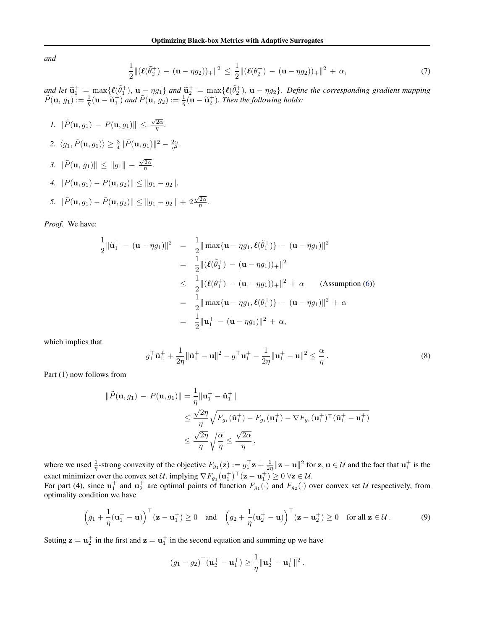<span id="page-12-0"></span>*and*

$$
\frac{1}{2} ||(\ell(\tilde{\theta}_2^+) - (\mathbf{u} - \eta g_2))_+||^2 \le \frac{1}{2} ||(\ell(\theta_2^+) - (\mathbf{u} - \eta g_2))_+||^2 + \alpha,
$$
\n(7)

and let  $\tilde{\mathbf{u}}_1^+ = \max\{ \ell(\tilde{\theta}_1^+), \mathbf{u} - \eta g_1 \}$  and  $\tilde{\mathbf{u}}_2^+ = \max\{ \ell(\tilde{\theta}_2^+), \mathbf{u} - \eta g_2 \}$ . Define the corresponding gradient mapping  $\tilde{P}(\mathbf{u}, \alpha) := \frac{1}{2}(\mathbf{u}, \tilde{\mathbf{u}})$ ,  $\tilde{\mathbf{u}}_1^+ = \tilde{\mathbf{u}}_2^+$  $\tilde{P}(\mathbf{u}, g_1) := \frac{1}{\eta}(\mathbf{u} - \tilde{\mathbf{u}}_1^+)$  and  $\tilde{P}(\mathbf{u}, g_2) := \frac{1}{\eta}(\mathbf{u} - \tilde{\mathbf{u}}_2^+)$ . Then the following holds:

1. 
$$
\|\tilde{P}(\mathbf{u}, g_1) - P(\mathbf{u}, g_1)\| \le \frac{\sqrt{2\alpha}}{\eta}
$$
.  
\n2.  $\langle g_1, \tilde{P}(\mathbf{u}, g_1) \rangle \ge \frac{3}{4} \|\tilde{P}(\mathbf{u}, g_1)\|^2 - \frac{2\alpha}{\eta^2}$ .  
\n3.  $\|\tilde{P}(\mathbf{u}, g_1)\| \le \|g_1\| + \frac{\sqrt{2\alpha}}{\eta}$ .  
\n4.  $\|P(\mathbf{u}, g_1) - P(\mathbf{u}, g_2)\| \le \|g_1 - g_2\|$ .  
\n5.  $\|\tilde{P}(\mathbf{u}, g_1) - \tilde{P}(\mathbf{u}, g_2)\| \le \|g_1 - g_2\| + 2\frac{\sqrt{2\alpha}}{\eta}$ .

*Proof.* We have:

1

$$
\frac{1}{2} \|\tilde{\mathbf{u}}_1^+ - (\mathbf{u} - \eta g_1)\|^2 = \frac{1}{2} \|\max{\{\mathbf{u} - \eta g_1, \ell(\tilde{\theta}_1^+\})} - (\mathbf{u} - \eta g_1)\|^2
$$
  
\n
$$
= \frac{1}{2} \|(\ell(\tilde{\theta}_1^+) - (\mathbf{u} - \eta g_1))_+\|^2
$$
  
\n
$$
\leq \frac{1}{2} \|(\ell(\theta_1^+) - (\mathbf{u} - \eta g_1))_+\|^2 + \alpha \quad \text{(Assumption (6))}
$$
  
\n
$$
= \frac{1}{2} \|\max{\{\mathbf{u} - \eta g_1, \ell(\theta_1^+)\} - (\mathbf{u} - \eta g_1)\|^2} + \alpha
$$
  
\n
$$
= \frac{1}{2} \|\mathbf{u}_1^+ - (\mathbf{u} - \eta g_1)\|^2 + \alpha,
$$

which implies that

$$
g_1^{\top} \tilde{\mathbf{u}}_1^+ + \frac{1}{2\eta} \|\tilde{\mathbf{u}}_1^+ - \mathbf{u}\|^2 - g_1^{\top} \mathbf{u}_1^+ - \frac{1}{2\eta} \|\mathbf{u}_1^+ - \mathbf{u}\|^2 \le \frac{\alpha}{\eta}.
$$
 (8)

Part (1) now follows from

$$
\|\tilde{P}(\mathbf{u}, g_1) - P(\mathbf{u}, g_1)\| = \frac{1}{\eta} \|\mathbf{u}_1^+ - \tilde{\mathbf{u}}_1^+\|
$$
  
\n
$$
\leq \frac{\sqrt{2\eta}}{\eta} \sqrt{F_{g_1}(\tilde{\mathbf{u}}_1^+) - F_{g_1}(\mathbf{u}_1^+) - \nabla F_{g_1}(\mathbf{u}_1^+)^{\top}(\tilde{\mathbf{u}}_1^+ - \mathbf{u}_1^+)}
$$
  
\n
$$
\leq \frac{\sqrt{2\eta}}{\eta} \sqrt{\frac{\alpha}{\eta}} \leq \frac{\sqrt{2\alpha}}{\eta},
$$

where we used  $\frac{1}{\eta}$ -strong convexity of the objective  $F_{g_1}(\mathbf{z}) := g_1^{\top} \mathbf{z} + \frac{1}{2\eta} ||\mathbf{z} - \mathbf{u}||^2$  for  $\mathbf{z}, \mathbf{u} \in \mathcal{U}$  and the fact that  $\mathbf{u}_1^{\dagger}$  is the exact minimizer over the convex set  $\mathcal{U}$ , implying  $\nabla F_{g_1}(\mathbf{u}_1^{\dagger})^{\top}(\mathbf{z}-\mathbf{u}_1^{\dagger}) \geq 0 \ \forall \mathbf{z} \in \mathcal{U}$ . For part (4), since  $u_1^+$  and  $u_2^+$  are optimal points of function  $F_{g_1}(\cdot)$  and  $F_{g_2}(\cdot)$  over convex set U respectively, from

optimality condition we have

$$
\left(g_1 + \frac{1}{\eta}(\mathbf{u}_1^+ - \mathbf{u})\right)^\top (\mathbf{z} - \mathbf{u}_1^+) \ge 0 \quad \text{and} \quad \left(g_2 + \frac{1}{\eta}(\mathbf{u}_2^+ - \mathbf{u})\right)^\top (\mathbf{z} - \mathbf{u}_2^+) \ge 0 \quad \text{for all } \mathbf{z} \in \mathcal{U} \,.
$$

Setting  $z = u_2^+$  in the first and  $z = u_1^+$  in the second equation and summing up we have

$$
(g_1 - g_2)^{\top}(\mathbf{u}_2^+ - \mathbf{u}_1^+) \ge \frac{1}{\eta} \|\mathbf{u}_2^+ - \mathbf{u}_1^+\|^2.
$$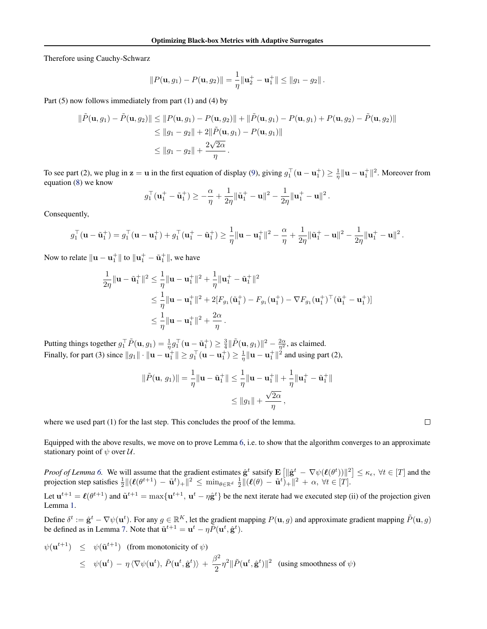Therefore using Cauchy-Schwarz

$$
||P(\mathbf{u}, g_1) - P(\mathbf{u}, g_2)|| = \frac{1}{\eta} ||\mathbf{u}_2^+ - \mathbf{u}_1^+|| \le ||g_1 - g_2||.
$$

Part (5) now follows immediately from part (1) and (4) by

g

$$
\|\tilde{P}(\mathbf{u}, g_1) - \tilde{P}(\mathbf{u}, g_2)\| \le \|P(\mathbf{u}, g_1) - P(\mathbf{u}, g_2)\| + \|\tilde{P}(\mathbf{u}, g_1) - P(\mathbf{u}, g_1) + P(\mathbf{u}, g_2) - \tilde{P}(\mathbf{u}, g_2)\|
$$
  
\n
$$
\le \|g_1 - g_2\| + 2\|\tilde{P}(\mathbf{u}, g_1) - P(\mathbf{u}, g_1)\|
$$
  
\n
$$
\le \|g_1 - g_2\| + \frac{2\sqrt{2\alpha}}{\eta}.
$$

To see part (2), we plug in  $\mathbf{z} = \mathbf{u}$  in the first equation of display [\(9\)](#page-12-0), giving  $g_1^\top (\mathbf{u} - \mathbf{u}_1^+) \ge \frac{1}{\eta} ||\mathbf{u} - \mathbf{u}_1^+||^2$ . Moreover from equation [\(8\)](#page-12-0) we know

$$
g_1^{\top}(\mathbf{u}_1^+ - \tilde{\mathbf{u}}_1^+) \ge -\frac{\alpha}{\eta} + \frac{1}{2\eta} \|\tilde{\mathbf{u}}_1^+ - \mathbf{u}\|^2 - \frac{1}{2\eta} \|\mathbf{u}_1^+ - \mathbf{u}\|^2.
$$

Consequently,

$$
g_1^{\top}(\mathbf{u} - \tilde{\mathbf{u}}_1^+) = g_1^{\top}(\mathbf{u} - \mathbf{u}_1^+) + g_1^{\top}(\mathbf{u}_1^+ - \tilde{\mathbf{u}}_1^+) \ge \frac{1}{\eta} \|\mathbf{u} - \mathbf{u}_1^+\|^2 - \frac{\alpha}{\eta} + \frac{1}{2\eta} \|\tilde{\mathbf{u}}_1^+ - \mathbf{u}\|^2 - \frac{1}{2\eta} \|\mathbf{u}_1^+ - \mathbf{u}\|^2.
$$

Now to relate  $\|{\bf u}-{\bf u}_1^+\|$  to  $\|{\bf u}_1^+-\tilde{\bf u}_1^+\|,$  we have

$$
\frac{1}{2\eta} \|\mathbf{u} - \tilde{\mathbf{u}}_1^+\|^2 \le \frac{1}{\eta} \|\mathbf{u} - \mathbf{u}_1^+\|^2 + \frac{1}{\eta} \|\mathbf{u}_1^+ - \tilde{\mathbf{u}}_1^+\|^2 \n\le \frac{1}{\eta} \|\mathbf{u} - \mathbf{u}_1^+\|^2 + 2[F_{g_1}(\tilde{\mathbf{u}}_1^+) - F_{g_1}(\mathbf{u}_1^+) - \nabla F_{g_1}(\mathbf{u}_1^+)^{\top}(\tilde{\mathbf{u}}_1^+ - \mathbf{u}_1^+)\| \n\le \frac{1}{\eta} \|\mathbf{u} - \mathbf{u}_1^+\|^2 + \frac{2\alpha}{\eta} .
$$

Putting things together  $g_1^\top \tilde{P}(\mathbf{u}, g_1) = \frac{1}{\eta} g_1^\top (\mathbf{u} - \tilde{\mathbf{u}}_1^+) \geq \frac{3}{4} ||\tilde{P}(\mathbf{u}, g_1)||^2 - \frac{2\alpha}{\eta^2}$ , as claimed. Finally, for part (3) since  $||g_1|| \cdot ||\mathbf{u} - \mathbf{u}_1^+|| \geq g_1^\top (\mathbf{u} - \mathbf{u}_1^+) \geq \frac{1}{\eta} ||\mathbf{u} - \mathbf{u}_1^+||^2$  and using part (2),

$$
\|\tilde{P}(\mathbf{u}, g_1)\| = \frac{1}{\eta} \|\mathbf{u} - \tilde{\mathbf{u}}_1^+\| \le \frac{1}{\eta} \|\mathbf{u} - \mathbf{u}_1^+\| + \frac{1}{\eta} \|\mathbf{u}_1^+ - \tilde{\mathbf{u}}_1^+\|
$$
  

$$
\le \|g_1\| + \frac{\sqrt{2\alpha}}{\eta},
$$

where we used part (1) for the last step. This concludes the proof of the lemma.

Equipped with the above results, we move on to prove Lemma [6,](#page-11-0) i.e. to show that the algorithm converges to an approximate stationary point of  $\psi$  over  $\mathcal{U}$ .

*Proof of Lemma* [6.](#page-11-0) We will assume that the gradient estimates  $\hat{\mathbf{g}}^t$  satsify  $\mathbf{E} \left[ \|\hat{\mathbf{g}}^t - \nabla \psi(\ell(\theta^t))\|^2 \right] \leq \kappa_{\epsilon}$ ,  $\forall t \in [T]$  and the projection step satisfies  $\frac{1}{2} ||(\ell(\theta^{t+1}) - \tilde{\mathbf{u}}^t)_+||^2 \le \min_{\theta \in \mathbb{R}^d} \frac{1}{2} ||(\ell(\theta) - \tilde{\mathbf{u}}^t)_+||^2 + \alpha, \forall t \in [T].$ 

Let  $u^{t+1} = \ell(\theta^{t+1})$  and  $\tilde{u}^{t+1} = \max\{u^{t+1}, u^t - \eta \hat{g}^t\}$  be the next iterate had we executed step (ii) of the projection given Lemma [1.](#page-3-0)

Define  $\delta^t := \hat{\mathbf{g}}^t - \nabla \psi(\mathbf{u}^t)$ . For any  $g \in \mathbb{R}^K$ , let the gradient mapping  $P(\mathbf{u}, g)$  and approximate gradient mapping  $\tilde{P}(\mathbf{u}, g)$ be defined as in Lemma [7.](#page-11-0) Note that  $\tilde{\mathbf{u}}^{t+1} = \mathbf{u}^t - \eta \tilde{P}(\mathbf{u}^t, \hat{\mathbf{g}}^t)$ .

$$
\psi(\mathbf{u}^{t+1}) \leq \psi(\tilde{\mathbf{u}}^{t+1}) \text{ (from monotonicity of } \psi)
$$
  
\n
$$
\leq \psi(\mathbf{u}^t) - \eta \langle \nabla \psi(\mathbf{u}^t), \tilde{P}(\mathbf{u}^t, \hat{\mathbf{g}}^t) \rangle + \frac{\beta^2}{2} \eta^2 ||\tilde{P}(\mathbf{u}^t, \hat{\mathbf{g}}^t)||^2 \text{ (using smoothness of } \psi)
$$

 $\Box$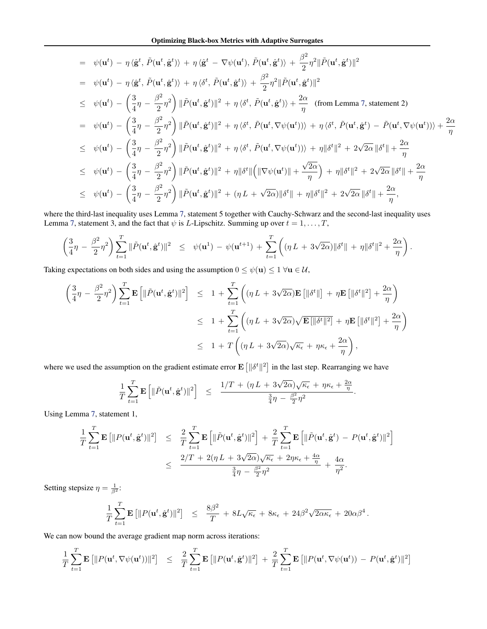$$
\begin{split}\n&= \psi(\mathbf{u}^{t}) - \eta \langle \hat{\mathbf{g}}^{t}, \tilde{P}(\mathbf{u}^{t}, \hat{\mathbf{g}}^{t}) \rangle + \eta \langle \hat{\mathbf{g}}^{t} - \nabla \psi(\mathbf{u}^{t}), \tilde{P}(\mathbf{u}^{t}, \hat{\mathbf{g}}^{t}) \rangle + \frac{\beta^{2}}{2} \eta^{2} \|\tilde{P}(\mathbf{u}^{t}, \hat{\mathbf{g}}^{t})\|^{2} \\
&= \psi(\mathbf{u}^{t}) - \eta \langle \hat{\mathbf{g}}^{t}, \tilde{P}(\mathbf{u}^{t}, \hat{\mathbf{g}}^{t}) \rangle + \eta \langle \delta^{t}, \tilde{P}(\mathbf{u}^{t}, \hat{\mathbf{g}}^{t}) \rangle + \frac{\beta^{2}}{2} \eta^{2} \|\tilde{P}(\mathbf{u}^{t}, \hat{\mathbf{g}}^{t})\|^{2} \\
&\leq \psi(\mathbf{u}^{t}) - \left(\frac{3}{4}\eta - \frac{\beta^{2}}{2}\eta^{2}\right) \|\tilde{P}(\mathbf{u}^{t}, \hat{\mathbf{g}}^{t})\|^{2} + \eta \langle \delta^{t}, \tilde{P}(\mathbf{u}^{t}, \hat{\mathbf{g}}^{t}) \rangle + \frac{2\alpha}{\eta} \quad \text{(from Lemma 7, statement 2)} \\
&= \psi(\mathbf{u}^{t}) - \left(\frac{3}{4}\eta - \frac{\beta^{2}}{2}\eta^{2}\right) \|\tilde{P}(\mathbf{u}^{t}, \hat{\mathbf{g}}^{t})\|^{2} + \eta \langle \delta^{t}, \tilde{P}(\mathbf{u}^{t}, \nabla \psi(\mathbf{u}^{t})) \rangle + \eta \langle \delta^{t}, \tilde{P}(\mathbf{u}^{t}, \hat{\mathbf{g}}^{t}) - \tilde{P}(\mathbf{u}^{t}, \nabla \psi(\mathbf{u}^{t})) \rangle + \frac{2\alpha}{\eta} \\
&\leq \psi(\mathbf{u}^{t}) - \left(\frac{3}{4}\eta - \frac{\beta^{2}}{2}\eta^{2}\right) \|\tilde{P}(\mathbf{u}^{t}, \hat{\mathbf{g}}^{t})\|^{2} + \eta \langle \delta^{t}, \tilde{P}(\mathbf{u}^{t}, \nabla \psi
$$

where the third-last inequality uses Lemma [7,](#page-11-0) statement 5 together with Cauchy-Schwarz and the second-last inequality uses Lemma [7,](#page-11-0) statement 3, and the fact that  $\psi$  is *L*-Lipschitz. Summing up over  $t = 1, \dots, T$ ,

$$
\left(\frac{3}{4}\eta - \frac{\beta^2}{2}\eta^2\right)\sum_{t=1}^T \|\tilde{P}(\mathbf{u}^t, \hat{\mathbf{g}}^t)\|^2 \leq \psi(\mathbf{u}^1) - \psi(\mathbf{u}^{t+1}) + \sum_{t=1}^T \left( (\eta L + 3\sqrt{2\alpha})\|\delta^t\| + \eta \|\delta^t\|^2 + \frac{2\alpha}{\eta} \right).
$$

Taking expectations on both sides and using the assumption  $0 \le \psi(\mathbf{u}) \le 1 \ \forall \mathbf{u} \in \mathcal{U}$ ,

$$
\begin{split}\n\left(\frac{3}{4}\eta - \frac{\beta^2}{2}\eta^2\right) \sum_{t=1}^T \mathbf{E} \left[ \|\tilde{P}(\mathbf{u}^t, \hat{\mathbf{g}}^t)\|^2 \right] &\leq 1 + \sum_{t=1}^T \left( (\eta L + 3\sqrt{2\alpha}) \mathbf{E} \left[ \|\delta^t\| \right] + \eta \mathbf{E} \left[ \|\delta^t\|^2 \right] + \frac{2\alpha}{\eta} \right) \\
&\leq 1 + \sum_{t=1}^T \left( (\eta L + 3\sqrt{2\alpha}) \sqrt{\mathbf{E} \left[ \|\delta^t\|^2 \right]} + \eta \mathbf{E} \left[ \|\delta^t\|^2 \right] + \frac{2\alpha}{\eta} \right) \\
&\leq 1 + T \left( (\eta L + 3\sqrt{2\alpha}) \sqrt{\kappa_{\epsilon}} + \eta \kappa_{\epsilon} + \frac{2\alpha}{\eta} \right),\n\end{split}
$$

where we used the assumption on the gradient estimate error  $\mathbf{E} \left[ \|\delta^t\|^2 \right]$  in the last step. Rearranging we have

$$
\frac{1}{T}\sum_{t=1}^T \mathbf{E}\left[\|\tilde{P}(\mathbf{u}^t, \hat{\mathbf{g}}^t)\|^2\right] \leq \frac{1/T+(\eta\,L+3\sqrt{2\alpha})\sqrt{\kappa_\epsilon}+\eta\kappa_\epsilon+\frac{2\alpha}{\eta}}{\frac{3}{4}\eta-\frac{\beta^2}{2}\eta^2}.
$$

Using Lemma [7,](#page-11-0) statement 1,

$$
\frac{1}{T} \sum_{t=1}^{T} \mathbf{E} \left[ \| P(\mathbf{u}^t, \hat{\mathbf{g}}^t) \|^2 \right] \leq \frac{2}{T} \sum_{t=1}^{T} \mathbf{E} \left[ \| \tilde{P}(\mathbf{u}^t, \hat{\mathbf{g}}^t) \|^2 \right] + \frac{2}{T} \sum_{t=1}^{T} \mathbf{E} \left[ \| \tilde{P}(\mathbf{u}^t, \hat{\mathbf{g}}^t) - P(\mathbf{u}^t, \hat{\mathbf{g}}^t) \|^2 \right] \leq \frac{2/T + 2(\eta L + 3\sqrt{2\alpha})\sqrt{\kappa_{\epsilon}} + 2\eta \kappa_{\epsilon} + \frac{4\alpha}{\eta}}{\frac{3}{4}\eta - \frac{\beta^2}{2}\eta^2} + \frac{4\alpha}{\eta^2}.
$$

Setting stepsize  $\eta = \frac{1}{\beta^2}$ :

$$
\frac{1}{T}\sum_{t=1}^T \mathbf{E}\left[\|P(\mathbf{u}^t, \hat{\mathbf{g}}^t)\|^2\right] \leq \frac{8\beta^2}{T} + 8L\sqrt{\kappa_{\epsilon}} + 8\kappa_{\epsilon} + 24\beta^2\sqrt{2\alpha\kappa_{\epsilon}} + 20\alpha\beta^4.
$$

We can now bound the average gradient map norm across iterations:

$$
\frac{1}{T} \sum_{t=1}^T \mathbf{E} \left[ \Vert P(\mathbf{u}^t, \nabla \psi(\mathbf{u}^t)) \Vert^2 \right] \leq \frac{2}{T} \sum_{t=1}^T \mathbf{E} \left[ \Vert P(\mathbf{u}^t, \hat{\mathbf{g}}^t) \Vert^2 \right] + \frac{2}{T} \sum_{t=1}^T \mathbf{E} \left[ \Vert P(\mathbf{u}^t, \nabla \psi(\mathbf{u}^t)) - P(\mathbf{u}^t, \hat{\mathbf{g}}^t) \Vert^2 \right]
$$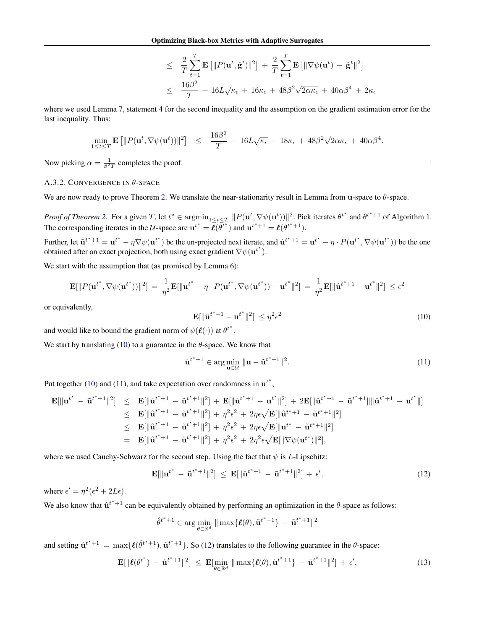$$
\leq \frac{2}{T} \sum_{t=1}^{T} \mathbf{E} \left[ \| P(\mathbf{u}^t, \hat{\mathbf{g}}^t) \|^2 \right] + \frac{2}{T} \sum_{t=1}^{T} \mathbf{E} \left[ \| \nabla \psi(\mathbf{u}^t) - \hat{\mathbf{g}}^t \|^2 \right]
$$
  

$$
\leq \frac{16\beta^2}{T} + 16L\sqrt{\kappa_{\epsilon}} + 16\kappa_{\epsilon} + 48\beta^2\sqrt{2\alpha\kappa_{\epsilon}} + 40\alpha\beta^4 + 2\kappa_{\epsilon}
$$

<span id="page-15-0"></span>where we used Lemma [7,](#page-11-0) statement 4 for the second inequality and the assumption on the gradient estimation error for the last inequality. Thus:

$$
\min_{1 \leq t \leq T} \mathbf{E} \left[ \| P(\mathbf{u}^t, \nabla \psi(\mathbf{u}^t)) \|^2 \right] \leq \frac{16\beta^2}{T} + 16L\sqrt{\kappa_{\epsilon}} + 18\kappa_{\epsilon} + 48\beta^2\sqrt{2\alpha\kappa_{\epsilon}} + 40\alpha\beta^4.
$$

Now picking  $\alpha = \frac{1}{\beta^2 T}$  completes the proof.

# A.3.2. CONVERGENCE IN  $\theta$ -SPACE

We are now ready to prove Theorem [2.](#page-3-0) We translate the near-stationarity result in Lemma from u-space to  $\theta$ -space.

*Proof of Theorem [2.](#page-3-0)* For a given T, let  $t^* \in \operatorname{argmin}_{1 \le t \le T} ||P(\mathbf{u}^t, \nabla \psi(\mathbf{u}^t))||^2$ . Pick iterates  $\theta^{t^*}$  and  $\theta^{t^*+1}$  of Algorithm [1.](#page-3-0) The corresponding iterates in the U-space are  $\mathbf{u}^{t^*} = \overline{\ell}(\overline{\theta}^{t^*})$  and  $\mathbf{u}^{t^*+1} = \ell(\theta^{t^*+1})$ .

Further, let  $\tilde{\mathbf{u}}^{t^*+1} = \mathbf{u}^{t^*} - \eta \nabla \psi(\mathbf{u}^{t^*})$  be the un-projected next iterate, and  $\hat{\mathbf{u}}^{t^*+1} = \mathbf{u}^{t^*} - \eta \cdot P(\mathbf{u}^{t^*}, \nabla \psi(\mathbf{u}^{t^*}))$  be the one obtained after an exact projection, both using exact gradient  $\nabla \psi(\mathbf{u}^{t^*})$ .

We start with the assumption that (as promised by Lemma [6\)](#page-11-0):

$$
\mathbf{E}[\|P(\mathbf{u}^{t^*}, \nabla \psi(\mathbf{u}^{t^*}))\|^2] = \frac{1}{\eta^2} \mathbf{E}[\|\mathbf{u}^{t^*} - \eta \cdot P(\mathbf{u}^{t^*}, \nabla \psi(\mathbf{u}^{t^*})) - \mathbf{u}^{t^*}\|^2] = \frac{1}{\eta^2} \mathbf{E}[\|\hat{\mathbf{u}}^{t^*+1} - \mathbf{u}^{t^*}\|^2] \le \epsilon^2
$$

or equivalently,

$$
\mathbf{E}[\|\hat{\mathbf{u}}^{t^*+1} - \mathbf{u}^{t^*}\|^2] \leq \eta^2 \epsilon^2 \tag{10}
$$

and would like to bound the gradient norm of  $\psi(\ell(\cdot))$  at  $\theta^{t^*}$ .

We start by translating (10) to a guarantee in the  $\theta$ -space. We know that

$$
\hat{\mathbf{u}}^{t^*+1} \in \arg\min_{\mathbf{u}\in\mathcal{U}} \|\mathbf{u} - \tilde{\mathbf{u}}^{t^*+1}\|^2. \tag{11}
$$

Put together (10) and (11), and take expectation over randomness in  $\mathbf{u}^{t^*}$ ,

$$
\mathbf{E}[\|\mathbf{u}^{t^*} - \tilde{\mathbf{u}}^{t^*+1}\|^2] \leq \mathbf{E}[\|\hat{\mathbf{u}}^{t^*+1} - \tilde{\mathbf{u}}^{t^*+1}\|^2] + \mathbf{E}[\|\hat{\mathbf{u}}^{t^*+1} - \mathbf{u}^{t^*}\|^2] + 2\mathbf{E}[\|\hat{\mathbf{u}}^{t^*+1} - \tilde{\mathbf{u}}^{t^*+1}\|\|\hat{\mathbf{u}}^{t^*+1} - \mathbf{u}^{t^*}]\|] \n\leq \mathbf{E}[\|\hat{\mathbf{u}}^{t^*+1} - \tilde{\mathbf{u}}^{t^*+1}\|^2] + \eta^2 \epsilon^2 + 2\eta \epsilon \sqrt{\mathbf{E}[\|\hat{\mathbf{u}}^{t^*+1} - \tilde{\mathbf{u}}^{t^*+1}\|^2]}\n\leq \mathbf{E}[\|\hat{\mathbf{u}}^{t^*+1} - \tilde{\mathbf{u}}^{t^*+1}\|^2] + \eta^2 \epsilon^2 + 2\eta \epsilon \sqrt{\mathbf{E}[\|\mathbf{u}^{t^*} - \tilde{\mathbf{u}}^{t^*+1}\|^2]}\n= \mathbf{E}[\|\hat{\mathbf{u}}^{t^*+1} - \tilde{\mathbf{u}}^{t^*+1}\|^2] + \eta^2 \epsilon^2 + 2\eta^2 \epsilon \sqrt{\mathbf{E}[\|\nabla \psi(\mathbf{u}^{t^*})\|^2]},
$$

where we used Cauchy-Schwarz for the second step. Using the fact that  $\psi$  is L-Lipschitz:

$$
\mathbf{E}[\|\mathbf{u}^{t^*} - \tilde{\mathbf{u}}^{t^*+1}\|^2] \leq \mathbf{E}[\|\hat{\mathbf{u}}^{t^*+1} - \tilde{\mathbf{u}}^{t^*+1}\|^2] + \epsilon',
$$
\n(12)

where  $\epsilon' = \eta^2(\epsilon^2 + 2L\epsilon)$ .

We also know that  $\hat{u}^{t*+1}$  can be equivalently obtained by performing an optimization in the  $\theta$ -space as follows:

$$
\hat{\theta}^{t^*+1} \in \arg\min_{\theta \in \mathbb{R}^d} \|\max\{\ell(\theta),\tilde{\mathbf{u}}^{t^*+1}\} - \tilde{\mathbf{u}}^{t^*+1}\|^2
$$

and setting  $\hat{u}^{t^*+1} = \max{\{\ell(\hat{\theta}^{t^*+1}), \tilde{u}^{t^*+1}\}}$ . So (12) translates to the following guarantee in the  $\theta$ -space:

$$
\mathbf{E}[\|\boldsymbol{\ell}(\boldsymbol{\theta}^{t^*}) - \tilde{\mathbf{u}}^{t^*+1}\|^2] \leq \mathbf{E}[\min_{\boldsymbol{\theta} \in \mathbb{R}^d} \|\max\{\boldsymbol{\ell}(\boldsymbol{\theta}), \tilde{\mathbf{u}}^{t^*+1}\} - \tilde{\mathbf{u}}^{t^*+1}\|^2] + \epsilon',
$$
\n(13)

 $\Box$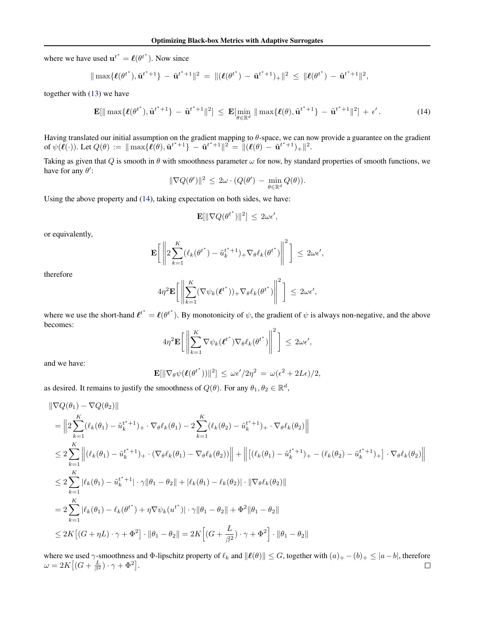where we have used  $\mathbf{u}^{t^*} = \ell(\theta^{t^*})$ . Now since

$$
\|\max\{\ell(\theta^{t^*}),\tilde{\mathbf{u}}^{t^*+1}\}-\tilde{\mathbf{u}}^{t^*+1}\|^2 = \|(\ell(\theta^{t^*})-\tilde{\mathbf{u}}^{t^*+1})_+\|^2 \leq \|\ell(\theta^{t^*})-\tilde{\mathbf{u}}^{t^*+1}\|^2,
$$

together with [\(13\)](#page-15-0) we have

$$
\mathbf{E}[\|\max\{\boldsymbol{\ell}(\boldsymbol{\theta}^{t^*}),\tilde{\mathbf{u}}^{t^*+1}\}-\tilde{\mathbf{u}}^{t^*+1}\|^2] \leq \mathbf{E}[\min_{\boldsymbol{\theta}\in\mathbb{R}^d}\|\max\{\boldsymbol{\ell}(\boldsymbol{\theta}),\tilde{\mathbf{u}}^{t^*+1}\}-\tilde{\mathbf{u}}^{t^*+1}\|^2] + \epsilon'.
$$
 (14)

Having translated our initial assumption on the gradient mapping to  $\theta$ -space, we can now provide a guarantee on the gradient of  $\psi(\ell(\cdot))$ . Let  $Q(\theta) := \|\max{\{\ell(\theta), \tilde{\mathbf{u}}^{t^*+1}\}} - \tilde{\mathbf{u}}^{t^*+1}\|^2 = \|(\ell(\theta) - \tilde{\mathbf{u}}^{t^*+1})_+\|^2$ .

Taking as given that Q is smooth in  $\theta$  with smoothness parameter  $\omega$  for now, by standard properties of smooth functions, we have for any  $\theta$ :

$$
\|\nabla Q(\theta')\|^2 \leq 2\omega \cdot (Q(\theta') - \min_{\theta \in \mathbb{R}^d} Q(\theta)).
$$

Using the above property and (14), taking expectation on both sides, we have:

$$
\mathbf{E}[\|\nabla Q({\boldsymbol{\theta}^{t}}^*)\|^2]\,\leq\,2\omega\epsilon',
$$

or equivalently,

$$
\mathbf{E}\bigg[\left\|2\sum_{k=1}^K(\ell_k(\theta^{t^*}) - \tilde{u}_k^{t^*+1})_+\nabla_{\theta}\ell_k(\theta^{t^*})\right\|^2\bigg] \leq 2\omega\epsilon',
$$

therefore

$$
4\eta^2 \mathbf{E}\bigg[\bigg\|\sum_{k=1}^K(\nabla\psi_k(\boldsymbol{\ell}^{t^*}))_+\nabla_{\theta}\ell_k(\boldsymbol{\theta}^{t^*})\bigg\|^2\bigg] \leq 2\omega\epsilon',
$$

where we use the short-hand  $\ell^{t^*} = \ell(\theta^{t^*})$ . By monotonicity of  $\psi$ , the gradient of  $\psi$  is always non-negative, and the above becomes:

$$
4\eta^2 \mathbf{E}\bigg[\bigg\|\sum_{k=1}^K \nabla \psi_k(\boldsymbol{\ell}^{t^*}) \nabla_{\theta} \ell_k(\theta^{t^*})\bigg\|^2\bigg] \leq 2\omega \epsilon',
$$

and we have:

$$
\mathbf{E}[\|\nabla_{\theta}\psi(\boldsymbol{\ell}(\theta^{t^*}))\|^2] \leq \omega\epsilon'/2\eta^2 = \omega(\epsilon^2 + 2L\epsilon)/2,
$$

as desired. It remains to justify the smoothness of  $Q(\theta)$ . For any  $\theta_1, \theta_2 \in \mathbb{R}^d$ ,

$$
\|\nabla Q(\theta_1) - \nabla Q(\theta_2)\|
$$
\n
$$
= \left\| 2 \sum_{k=1}^{K} (\ell_k(\theta_1) - \tilde{u}_k^{t^*+1})_+ \cdot \nabla_{\theta} \ell_k(\theta_1) - 2 \sum_{k=1}^{K} (\ell_k(\theta_2) - \tilde{u}_k^{t^*+1})_+ \cdot \nabla_{\theta} \ell_k(\theta_2) \right\|
$$
\n
$$
\leq 2 \sum_{k=1}^{K} \left\| (\ell_k(\theta_1) - \tilde{u}_k^{t^*+1})_+ \cdot (\nabla_{\theta} \ell_k(\theta_1) - \nabla_{\theta} \ell_k(\theta_2)) \right\| + \left\| [(\ell_k(\theta_1) - \tilde{u}_k^{t^*+1})_+ - (\ell_k(\theta_2) - \tilde{u}_k^{t^*+1})_+] \cdot \nabla_{\theta} \ell_k(\theta_2) \right\|
$$
\n
$$
\leq 2 \sum_{k=1}^{K} |\ell_k(\theta_1) - \tilde{u}_k^{t^*+1}| \cdot \gamma \|\theta_1 - \theta_2\| + |\ell_k(\theta_1) - \ell_k(\theta_2)| \cdot \|\nabla_{\theta} \ell_k(\theta_2)\|
$$
\n
$$
= 2 \sum_{k=1}^{K} |\ell_k(\theta_1) - \ell_k(\theta^{t^*}) + \eta \nabla \psi_k(u^{t^*})| \cdot \gamma \|\theta_1 - \theta_2\| + \Phi^2 \|\theta_1 - \theta_2\|
$$
\n
$$
\leq 2K \left[ (G + \eta L) \cdot \gamma + \Phi^2 \right] \cdot \|\theta_1 - \theta_2\| = 2K \left[ (G + \frac{L}{\beta^2}) \cdot \gamma + \Phi^2 \right] \cdot \|\theta_1 - \theta_2\|
$$

where we used  $\gamma$ -smoothness and Φ-lipschitz property of  $\ell_k$  and  $\|\ell(\theta)\| \leq G$ , together with  $(a)_+ - (b)_+ \leq |a-b|$ , therefore  $\omega = 2K \big[ (G + \frac{L}{\beta^2}) \cdot \gamma + \Phi^2 \big].$  $\Box$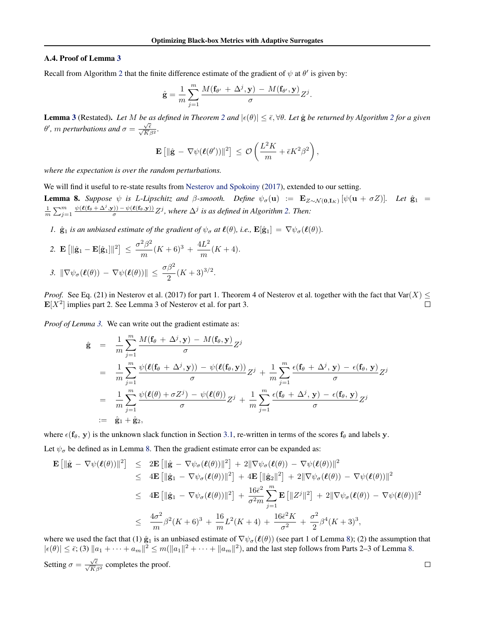#### <span id="page-17-0"></span>A.4. Proof of Lemma [3](#page-4-0)

Recall from Algorithm [2](#page-4-0) that the finite difference estimate of the gradient of  $\psi$  at  $\theta'$  is given by:

$$
\hat{\mathbf{g}} = \frac{1}{m} \sum_{j=1}^{m} \frac{M(\mathbf{f}_{\theta'} + \Delta^j, \mathbf{y}) - M(\mathbf{f}_{\theta'}, \mathbf{y})}{\sigma} Z^j.
$$

**Lemma [3](#page-4-0)** (Restated). Let M be as defined in Theorem [2](#page-4-0) and  $|\epsilon(\theta)| \leq \bar{\epsilon}, \forall \theta$ . Let  $\hat{g}$  be returned by Algorithm 2 for a given  $\theta'$ , *m* perturbations and  $\sigma = \frac{\sqrt{\epsilon}}{\sqrt{K}\beta^2}$ .

$$
\mathbf{E}\left[\|\hat{\mathbf{g}} - \nabla \psi(\boldsymbol{\ell}(\theta'))\|^2\right] \leq \mathcal{O}\left(\frac{L^2K}{m} + \bar{\epsilon}K^2\beta^2\right),\,
$$

*where the expectation is over the random perturbations.*

We will find it useful to re-state results from [Nesterov and Spokoiny](#page-8-0) [\(2017\)](#page-8-0), extended to our setting.

**Lemma 8.** *Suppose*  $\psi$  *is L-Lipschitz and β-smooth. Define*  $\psi_{\sigma}(\mathbf{u}) := \mathbf{E}_{Z \sim \mathcal{N}(\mathbf{0}, \mathbf{I}_K)} [\psi(\mathbf{u} + \sigma Z)]$ *. Let*  $\hat{\mathbf{g}}_1$  =  $\frac{1}{m}\sum_{j=1}^{m} \frac{\psi(\ell(\mathbf{f}_{\theta} + \Delta^{j}, \mathbf{y})) - \psi(\ell(\mathbf{f}_{\theta}, \mathbf{y}))}{\sigma} Z^{j}$ , where  $\Delta^{j}$  is as defined in Algorithm [2.](#page-4-0) Then:

*1.*  $\hat{\mathbf{g}}_1$  *is an unbiased estimate of the gradient of*  $\psi_{\sigma}$  *at*  $\ell(\theta)$ *, i.e.,*  $\mathbf{E}[\hat{\mathbf{g}}_1] = \nabla \psi_{\sigma}(\ell(\theta))$ *.* 

2. 
$$
\mathbf{E}\left[\|\hat{\mathbf{g}}_1 - \mathbf{E}[\hat{\mathbf{g}}_1]\|^2\right] \le \frac{\sigma^2 \beta^2}{m} (K+6)^3 + \frac{4L^2}{m} (K+4).
$$
  
3. 
$$
\|\nabla \psi_\sigma(\boldsymbol{\ell}(\theta)) - \nabla \psi(\boldsymbol{\ell}(\theta))\| \le \frac{\sigma \beta^2}{2} (K+3)^{3/2}.
$$

*Proof.* See Eq. (21) in Nesterov et al. (2017) for part 1. Theorem 4 of Nesterov et al. together with the fact that  $\text{Var}(X) \leq$  $\mathbf{E}[X^2]$  implies part 2. See Lemma 3 of Nesterov et al. for part 3.  $\Box$ 

*Proof of Lemma [3.](#page-4-0)* We can write out the gradient estimate as:

$$
\hat{\mathbf{g}} = \frac{1}{m} \sum_{j=1}^{m} \frac{M(\mathbf{f}_{\theta} + \Delta^{j}, \mathbf{y}) - M(\mathbf{f}_{\theta}, \mathbf{y})}{\sigma} Z^{j}
$$
\n
$$
= \frac{1}{m} \sum_{j=1}^{m} \frac{\psi(\ell(\mathbf{f}_{\theta} + \Delta^{j}, \mathbf{y})) - \psi(\ell(\mathbf{f}_{\theta}, \mathbf{y}))}{\sigma} Z^{j} + \frac{1}{m} \sum_{j=1}^{m} \frac{\epsilon(\mathbf{f}_{\theta} + \Delta^{j}, \mathbf{y}) - \epsilon(\mathbf{f}_{\theta}, \mathbf{y})}{\sigma} Z^{j}
$$
\n
$$
= \frac{1}{m} \sum_{j=1}^{m} \frac{\psi(\ell(\theta) + \sigma Z^{j}) - \psi(\ell(\theta))}{\sigma} Z^{j} + \frac{1}{m} \sum_{j=1}^{m} \frac{\epsilon(\mathbf{f}_{\theta} + \Delta^{j}, \mathbf{y}) - \epsilon(\mathbf{f}_{\theta}, \mathbf{y})}{\sigma} Z^{j}
$$
\n
$$
:= \hat{\mathbf{g}}_{1} + \hat{\mathbf{g}}_{2},
$$

where  $\epsilon(f_\theta, y)$  is the unknown slack function in Section [3.1,](#page-1-0) re-written in terms of the scores  $f_\theta$  and labels y.

Let  $\psi_{\sigma}$  be defined as in Lemma 8. Then the gradient estimate error can be expanded as:

$$
\mathbf{E} \left[ \|\hat{\mathbf{g}} - \nabla \psi(\boldsymbol{\ell}(\theta))\|^{2} \right] \leq 2 \mathbf{E} \left[ \|\hat{\mathbf{g}} - \nabla \psi_{\sigma}(\boldsymbol{\ell}(\theta))\|^{2} \right] + 2\|\nabla \psi_{\sigma}(\boldsymbol{\ell}(\theta)) - \nabla \psi(\boldsymbol{\ell}(\theta))\|^{2} \leq 4 \mathbf{E} \left[ \|\hat{\mathbf{g}}_{1} - \nabla \psi_{\sigma}(\boldsymbol{\ell}(\theta))\|^{2} \right] + 4 \mathbf{E} \left[ \|\hat{\mathbf{g}}_{2}\|^{2} \right] + 2\|\nabla \psi_{\sigma}(\boldsymbol{\ell}(\theta)) - \nabla \psi(\boldsymbol{\ell}(\theta))\|^{2} \leq 4 \mathbf{E} \left[ \|\hat{\mathbf{g}}_{1} - \nabla \psi_{\sigma}(\boldsymbol{\ell}(\theta))\|^{2} \right] + \frac{16\bar{\epsilon}^{2}}{\sigma^{2}m} \sum_{j=1}^{m} \mathbf{E} \left[ \|Z^{j}\|^{2} \right] + 2\|\nabla \psi_{\sigma}(\boldsymbol{\ell}(\theta)) - \nabla \psi(\boldsymbol{\ell}(\theta))\|^{2} \leq \frac{4\sigma^{2}}{m} \beta^{2} (K + 6)^{3} + \frac{16}{m} L^{2} (K + 4) + \frac{16\bar{\epsilon}^{2} K}{\sigma^{2}} + \frac{\sigma^{2}}{2} \beta^{4} (K + 3)^{3},
$$

where we used the fact that (1)  $\hat{\mathbf{g}}_1$  is an unbiased estimate of  $\nabla \psi_\sigma(\ell(\theta))$  (see part 1 of Lemma 8); (2) the assumption that  $|\epsilon(\theta)| \leq \bar{\epsilon}$ ; (3)  $\|a_1 + \cdots + a_m\|^2 \leq m(\|a_1\|^2 + \cdots + \|a_m\|^2)$ , and the last step follows from Parts 2–3 of Lemma 8. Setting  $\sigma = \frac{\sqrt{\bar{\epsilon}}}{\sqrt{K}\beta^2}$  completes the proof.  $\Box$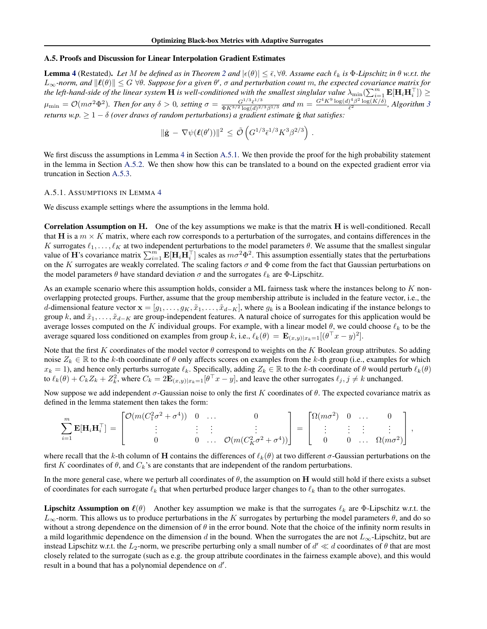# <span id="page-18-0"></span>A.5. Proofs and Discussion for Linear Interpolation Gradient Estimates

**Lemma [4](#page-5-0)** (Restated). Let M be defined as in Theorem [2](#page-3-0) and  $|\epsilon(\theta)| \leq \bar{\epsilon}, \forall \theta$ . Assume each  $\ell_k$  is  $\Phi$ -Lipschitz in  $\theta$  w.r.t. the  $L_\infty$ -norm, and  $\|\ell(\theta)\|\leq G$   $\forall\theta$ . Suppose for a given  $\theta'$ ,  $\sigma$  and perturbation count m, the expected covariance matrix for the left-hand-side of the linear system  $\bf H$  is well-conditioned with the smallest singlular value  $\lambda_{\min}(\sum_{i=1}^m{\bf E}[{\bf H}_i{\bf H}_i^\top])\geq$  $\mu_{\min} = \mathcal{O}(m\sigma^2\Phi^2)$ . Then for any  $\delta > 0$ , setting  $\sigma = \frac{G^{1/3}\bar{\epsilon}^{1/3}}{\Phi K^{3/2} \log(d)^{2/3}}$  $\frac{G^{1/3}\bar{\epsilon}^{1/3}}{\Phi K^{3/2}\log(d)^{2/3}\beta^{1/3}}$  and  $m = \frac{G^4K^9\log(d)^4\beta^2\log(K/\delta)}{\bar{\epsilon}^2}$  $\frac{\partial^2 \beta^2 \log(K/\delta)}{\partial \overline{\epsilon}^2}$ , Algorithm [3](#page-4-0) *returns w.p.*  $\geq 1 - \delta$  *(over draws of random perturbations) a gradient estimate*  $\hat{g}$  *that satisfies:* 

$$
\|\hat{\mathbf{g}} - \nabla \psi(\boldsymbol{\ell}(\theta'))\|^2 \leq \tilde{\mathcal{O}}\left(G^{1/3}\bar{\epsilon}^{1/3}K^3\beta^{2/3}\right).
$$

We first discuss the assumptions in Lemma [4](#page-5-0) in Section A.5.1. We then provide the proof for the high probability statement in the lemma in Section [A.5.2.](#page-19-0) We then show how this can be translated to a bound on the expected gradient error via truncation in Section [A.5.3.](#page-21-0)

#### A.5.1. ASSUMPTIONS IN LEMMA [4](#page-5-0)

We discuss example settings where the assumptions in the lemma hold.

Correlation Assumption on H. One of the key assumptions we make is that the matrix H is well-conditioned. Recall that H is a  $m \times K$  matrix, where each row corresponds to a perturbation of the surrogates, and contains differences in the K surrogates  $\ell_1, \ldots, \ell_K$  at two independent perturbations to the model parameters  $\theta$ . We assume that the smallest singular value of **H**'s covariance matrix  $\sum_{i=1}^{m} \mathbf{E}[\mathbf{H}_i \mathbf{H}_i^\top]$  scales as  $m\sigma^2 \Phi^2$ . This assumption essentially states that the perturbations on the K surrogates are weakly correlated. The scaling factors  $\sigma$  and  $\Phi$  come from the fact that Gaussian perturbations on the model parameters  $\theta$  have standard deviation  $\sigma$  and the surrogates  $\ell_k$  are  $\Phi$ -Lipschitz.

As an example scenario where this assumption holds, consider a ML fairness task where the instances belong to  $K$  nonoverlapping protected groups. Further, assume that the group membership attribute is included in the feature vector, i.e., the d-dimensional feature vector  $\mathbf{x} = [g_1, \dots, g_K, \tilde{x}_1, \dots, \tilde{x}_{d-K}]$ , where  $g_k$  is a Boolean indicating if the instance belongs to group k, and  $\tilde{x}_1, \ldots, \tilde{x}_{d-K}$  are group-independent features. A natural choice of surrogates for this application would be average losses computed on the K individual groups. For example, with a linear model  $\theta$ , we could choose  $\ell_k$  to be the average squared loss conditioned on examples from group k, i.e.,  $\ell_k(\theta) = \mathbf{E}_{(x,y)|x_k=1}[(\theta^\top x - y)^2]$ .

Note that the first K coordinates of the model vector  $\theta$  correspond to weights on the K Boolean group attributes. So adding noise  $Z_k \in \mathbb{R}$  to the k-th coordinate of  $\theta$  only affects scores on examples from the k-th group (i.e., examples for which  $x_k = 1$ ), and hence only perturbs surrogate  $\ell_k$ . Specifically, adding  $Z_k \in \mathbb{R}$  to the k-th coordinate of  $\theta$  would perturb  $\ell_k(\theta)$ to  $\ell_k(\theta) + C_k Z_k + Z_k^2$ , where  $C_k = 2\mathbf{E}_{(x,y)|x_k=1}[\theta^\top x - y]$ , and leave the other surrogates  $\ell_j, j \neq k$  unchanged.

Now suppose we add independent  $\sigma$ -Gaussian noise to only the first K coordinates of  $\theta$ . The expected covariance matrix as defined in the lemma statement then takes the form:

$$
\sum_{i=1}^{m} \mathbf{E}[\mathbf{H}_{i} \mathbf{H}_{i}^{\top}] = \begin{bmatrix} \mathcal{O}(m(C_{1}^{2} \sigma^{2} + \sigma^{4})) & 0 & \dots & 0 \\ \vdots & \vdots & \vdots & \vdots \\ 0 & 0 & \dots & \mathcal{O}(m(C_{K}^{2} \sigma^{2} + \sigma^{4})) \end{bmatrix} = \begin{bmatrix} \Omega(m\sigma^{2}) & 0 & \dots & 0 \\ \vdots & \vdots & \vdots & \vdots \\ 0 & 0 & \dots & \Omega(m\sigma^{2}) \end{bmatrix},
$$

where recall that the k-th column of H contains the differences of  $\ell_k(\theta)$  at two different  $\sigma$ -Gaussian perturbations on the first K coordinates of  $\theta$ , and  $C_k$ 's are constants that are independent of the random perturbations.

In the more general case, where we perturb all coordinates of  $\theta$ , the assumption on **H** would still hold if there exists a subset of coordinates for each surrogate  $\ell_k$  that when perturbed produce larger changes to  $\ell_k$  than to the other surrogates.

**Lipschitz Assumption on**  $\ell(\theta)$  Another key assumption we make is that the surrogates  $\ell_k$  are Φ-Lipschitz w.r.t. the  $L_{\infty}$ -norm. This allows us to produce perturbations in the K surrogates by perturbing the model parameters  $\theta$ , and do so without a strong dependence on the dimension of  $\theta$  in the error bound. Note that the choice of the infinity norm results in a mild logarithmic dependence on the dimension d in the bound. When the surrogates the are not  $L_{\infty}$ -Lipschitz, but are instead Lipschitz w.r.t. the  $L_2$ -norm, we prescribe perturbing only a small number of  $d' \ll d$  coordinates of  $\theta$  that are most closely related to the surrogate (such as e.g. the group attribute coordinates in the fairness example above), and this would result in a bound that has a polynomial dependence on  $d'$ .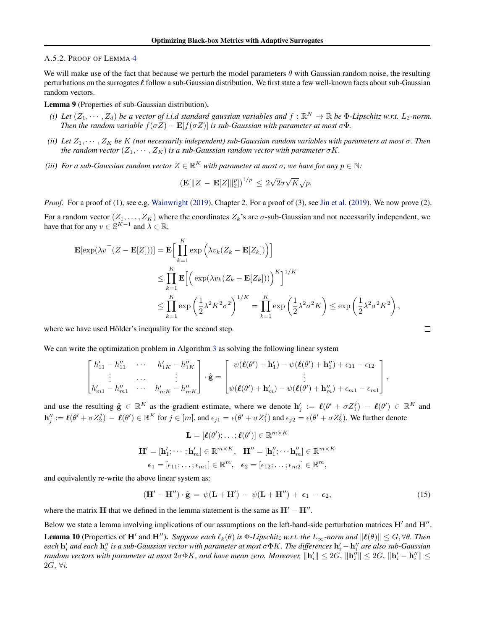#### <span id="page-19-0"></span>A.5.2. PROOF OF LEMMA [4](#page-5-0)

We will make use of the fact that because we perturb the model parameters  $\theta$  with Gaussian random noise, the resulting perturbations on the surrogates  $\ell$  follow a sub-Gaussian distribution. We first state a few well-known facts about sub-Gaussian random vectors.

# Lemma 9 (Properties of sub-Gaussian distribution).

- (i) Let  $(Z_1, \dots, Z_d)$  be a vector of i.i.d standard gaussian variables and  $f : \mathbb{R}^N \to \mathbb{R}$  be  $\Phi$ -Lipschitz w.r.t.  $L_2$ -norm. *Then the random variable*  $f(\sigma Z) - \mathbf{E}[f(\sigma Z)]$  *is sub-Gaussian with parameter at most*  $\sigma \Phi$ *.*
- *(ii) Let* Z1, · · · , Z<sup>K</sup> *be* K *(not necessarily independent) sub-Gaussian random variables with parameters at most* σ*. Then the random vector*  $(Z_1, \dots, Z_K)$  *is a sub-Gaussian random vector with parameter*  $\sigma K$ *.*
- (iii) For a sub-Gaussian random vector  $Z \in \mathbb{R}^K$  with parameter at most  $\sigma$ , we have for any  $p \in \mathbb{N}$ :

$$
\left(\mathbf{E}[\|Z-\mathbf{E}[Z]\|_2^p]\right)^{1/p} \leq 2\sqrt{2}\sigma\sqrt{K}\sqrt{p}.
$$

*Proof.* For a proof of (1), see e.g. [Wainwright](#page-9-0) [\(2019\)](#page-8-0), Chapter 2. For a proof of (3), see [Jin et al.](#page-8-0) (2019). We now prove (2).

For a random vector  $(Z_1, \ldots, Z_K)$  where the coordinates  $Z_k$ 's are  $\sigma$ -sub-Gaussian and not necessarily independent, we have that for any  $v \in \mathbb{S}^{K-1}$  and  $\lambda \in \mathbb{R}$ ,

$$
\mathbf{E}[\exp(\lambda v^\top (Z - \mathbf{E}[Z]))] = \mathbf{E} \Big[ \prod_{k=1}^K \exp\Big(\lambda v_k (Z_k - \mathbf{E}[Z_k])\Big) \Big]
$$
  
\n
$$
\leq \prod_{k=1}^K \mathbf{E} \Big[ \Big( \exp(\lambda v_k (Z_k - \mathbf{E}[Z_k])) \Big)^K \Big]^{1/K}
$$
  
\n
$$
\leq \prod_{k=1}^K \exp\Big(\frac{1}{2} \lambda^2 K^2 \sigma^2\Big)^{1/K} = \prod_{k=1}^K \exp\Big(\frac{1}{2} \lambda^2 \sigma^2 K\Big) \leq \exp\Big(\frac{1}{2} \lambda^2 \sigma^2 K^2\Big),
$$

where we have used Hölder's inequality for the second step.

We can write the optimization problem in Algorithm [3](#page-4-0) as solving the following linear system

$$
\begin{bmatrix} h'_{11} - h''_{11} & \cdots & h'_{1K} - h''_{1K} \\ \vdots & \cdots & \vdots \\ h'_{m1} - h''_{m1} & \cdots & h'_{mK} - h''_{mK} \end{bmatrix} \cdot \hat{\mathbf{g}} = \begin{bmatrix} \psi(\boldsymbol{\ell}(\theta') + \mathbf{h}'_1) - \psi(\boldsymbol{\ell}(\theta') + \mathbf{h}''_1) + \epsilon_{11} - \epsilon_{12} \\ \vdots & \vdots \\ \psi(\boldsymbol{\ell}(\theta') + \mathbf{h}'_m) - \psi(\boldsymbol{\ell}(\theta') + \mathbf{h}''_m) + \epsilon_{m1} - \epsilon_{m1} \end{bmatrix},
$$

and use the resulting  $\hat{\mathbf{g}} \in \mathbb{R}^K$  as the gradient estimate, where we denote  $\mathbf{h}'_j := \ell(\theta' + \sigma Z_1^j) - \ell(\theta') \in \mathbb{R}^K$  and  $\mathbf{h}''_j := \ell(\theta' + \sigma Z_2^j) - \ell(\theta') \in \mathbb{R}^K$  for  $j \in [m]$ , and  $\epsilon_{j1} = \epsilon(\theta' + \sigma Z_1^j)$  and  $\epsilon_{j2} = \epsilon(\theta' + \sigma Z_2^j)$ . We further denote

$$
\mathbf{L} = [\boldsymbol{\ell}(\theta'); \dots; \boldsymbol{\ell}(\theta')] \in \mathbb{R}^{m \times K}
$$

$$
\mathbf{H}' = [\mathbf{h}'_1; \dots; \mathbf{h}'_m] \in \mathbb{R}^{m \times K}, \quad \mathbf{H}'' = [\mathbf{h}''_1; \dots; \mathbf{h}''_m] \in \mathbb{R}^{m \times K}
$$

$$
\boldsymbol{\epsilon}_1 = [\epsilon_{11}; \dots; \epsilon_{m1}] \in \mathbb{R}^m, \quad \boldsymbol{\epsilon}_2 = [\epsilon_{12}; \dots; \epsilon_{m2}] \in \mathbb{R}^m,
$$

and equivalently re-write the above linear system as:

$$
(\mathbf{H}' - \mathbf{H}'') \cdot \hat{\mathbf{g}} = \psi(\mathbf{L} + \mathbf{H}') - \psi(\mathbf{L} + \mathbf{H}'') + \epsilon_1 - \epsilon_2,
$$
\n(15)

where the matrix H that we defined in the lemma statement is the same as  $H' - H''$ .

Below we state a lemma involving implications of our assumptions on the left-hand-side perturbation matrices  $H'$  and  $H''$ .

**Lemma 10** (Properties of  $H'$  and  $H''$ ). Suppose each  $\ell_k(\theta)$  is  $\Phi$ -Lipschitz w.r.t. the  $L_\infty$ -norm and  $\|\ell(\theta)\| \le G, \forall \theta$ . Then each  $\bf{h}'_i$  and each  $\bf{h}''_i$  is a sub-Gaussian vector with parameter at most  $\sigma \Phi K.$  The differences  $\bf{h}'_i-\bf{h}''_i$  are also sub-Gaussian  $r$ andom vectors with parameter at most  $2\sigma \Phi K$ , and have mean zero. Moreover,  $\|\mathbf{h}_i'\|\leq 2G,$   $\|\mathbf{h}_i''\|\leq 2G,$   $\|\mathbf{h}_i'-\mathbf{h}_i''\|\leq 2G$ 2G, ∀i*.*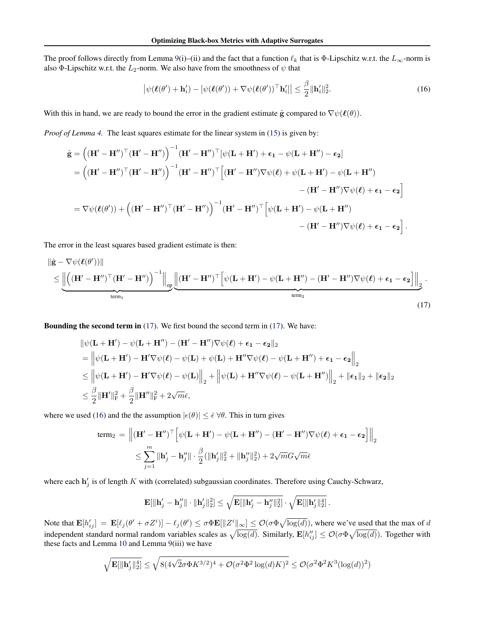<span id="page-20-0"></span>The proof follows directly from Lemma [9\(](#page-19-0)i)–(ii) and the fact that a function  $\ell_k$  that is Φ-Lipschitz w.r.t. the  $L_\infty$ -norm is also Φ-Lipschitz w.r.t. the  $L_2$ -norm. We also have from the smoothness of  $\psi$  that

$$
\left|\psi(\boldsymbol{\ell}(\theta')+\mathbf{h}'_i)-[\psi(\boldsymbol{\ell}(\theta'))+\nabla\psi(\boldsymbol{\ell}(\theta'))^\top\mathbf{h}'_i]\right|\leq \frac{\beta}{2}\|\mathbf{h}'_i\|_2^2.
$$
\n(16)

With this in hand, we are ready to bound the error in the gradient estimate  $\hat{g}$  compared to  $\nabla \psi(\ell(\theta))$ .

*Proof of Lemma [4.](#page-5-0)* The least squares estimate for the linear system in [\(15\)](#page-19-0) is given by:

$$
\hat{\mathbf{g}} = ((\mathbf{H}' - \mathbf{H}'')^{\top} (\mathbf{H}' - \mathbf{H}''))^{-1} (\mathbf{H}' - \mathbf{H}'')^{\top} [\psi(\mathbf{L} + \mathbf{H}') + \epsilon_1 - \psi(\mathbf{L} + \mathbf{H}'') - \epsilon_2]
$$
\n
$$
= ((\mathbf{H}' - \mathbf{H}'')^{\top} (\mathbf{H}' - \mathbf{H}''))^{-1} (\mathbf{H}' - \mathbf{H}'')^{\top} [(\mathbf{H}' - \mathbf{H}'') \nabla \psi(\ell) + \psi(\mathbf{L} + \mathbf{H}') - \psi(\mathbf{L} + \mathbf{H}'') - (\mathbf{H}' - \mathbf{H}'') \nabla \psi(\ell) + \epsilon_1 - \epsilon_2]
$$
\n
$$
= \nabla \psi(\ell(\theta')) + ((\mathbf{H}' - \mathbf{H}'')^{\top} (\mathbf{H}' - \mathbf{H}''))^{-1} (\mathbf{H}' - \mathbf{H}'')^{\top} [\psi(\mathbf{L} + \mathbf{H}') - \psi(\mathbf{L} + \mathbf{H}'') - (\mathbf{H}' - \mathbf{H}'') \nabla \psi(\ell) + \epsilon_1 - \epsilon_2].
$$

The error in the least squares based gradient estimate is then:

$$
\|\hat{\mathbf{g}} - \nabla \psi(\boldsymbol{\ell}(\theta'))\| \le \underbrace{\left\| \left( (\mathbf{H}' - \mathbf{H}'')^{\top} (\mathbf{H}' - \mathbf{H}'') \right)^{-1} \right\|_{op}}_{\text{term}_1} \underbrace{\left\| (\mathbf{H}' - \mathbf{H}'')^{\top} \left[ \psi(\mathbf{L} + \mathbf{H}') - \psi(\mathbf{L} + \mathbf{H}'') - (\mathbf{H}' - \mathbf{H}'') \nabla \psi(\boldsymbol{\ell}) + \epsilon_1 - \epsilon_2 \right] \right\|_{2}}_{\text{term}_2}.
$$
\n(17)

Bounding the second term in (17). We first bound the second term in (17). We have:

$$
\|\psi(\mathbf{L} + \mathbf{H}') - \psi(\mathbf{L} + \mathbf{H}'') - (\mathbf{H}' - \mathbf{H}'')\nabla\psi(\ell) + \epsilon_1 - \epsilon_2\|_2
$$
  
\n
$$
= \left\|\psi(\mathbf{L} + \mathbf{H}') - \mathbf{H}'\nabla\psi(\ell) - \psi(\mathbf{L}) + \psi(\mathbf{L}) + \mathbf{H}''\nabla\psi(\ell) - \psi(\mathbf{L} + \mathbf{H}'') + \epsilon_1 - \epsilon_2\right\|_2
$$
  
\n
$$
\leq \left\|\psi(\mathbf{L} + \mathbf{H}') - \mathbf{H}'\nabla\psi(\ell) - \psi(\mathbf{L})\right\|_2 + \left\|\psi(\mathbf{L}) + \mathbf{H}''\nabla\psi(\ell) - \psi(\mathbf{L} + \mathbf{H}'')\right\|_2 + \|\epsilon_1\|_2 + \|\epsilon_2\|_2
$$
  
\n
$$
\leq \frac{\beta}{2} \|\mathbf{H}'\|_F^2 + \frac{\beta}{2} \|\mathbf{H}''\|_F^2 + 2\sqrt{m}\bar{\epsilon},
$$

where we used (16) and the the assumption  $|\epsilon(\theta)| \leq \bar{\epsilon} \forall \theta$ . This in turn gives

$$
\begin{aligned} \text{term}_2 \, &= \, \left\| \left( \mathbf{H}' - \mathbf{H}'' \right)^\top \Big[ \psi(\mathbf{L} + \mathbf{H}') - \psi(\mathbf{L} + \mathbf{H}'') - (\mathbf{H}' - \mathbf{H}'') \nabla \psi(\boldsymbol{\ell}) + \epsilon_1 - \epsilon_2 \Big] \right\|_2 \\ &\leq \sum_{j=1}^m \left\| \mathbf{h}'_j - \mathbf{h}''_j \right\| \cdot \frac{\beta}{2} (\|\mathbf{h}'_j\|_2^2 + \|\mathbf{h}''_j\|_2^2) + 2 \sqrt{m} G \sqrt{m} \bar{\epsilon} \end{aligned}
$$

where each  $h'_j$  is of length K with (correlated) subgaussian coordinates. Therefore using Cauchy-Schwarz,

$$
\mathbf{E}[\|\mathbf{h}_j'-\mathbf{h}_j''\|\cdot\|\mathbf{h}_j'\|_2^2] \leq \sqrt{\mathbf{E}[\|\mathbf{h}_j'-\mathbf{h}_j''\|_2^2]} \cdot \sqrt{\mathbf{E}[\|\mathbf{h}_j'\|_2^4]}.
$$

Note that  $\mathbf{E}[h'_{ij}] = \mathbf{E}[\ell_j(\theta' + \sigma Z^i)] - \ell_j(\theta') \leq \sigma \Phi \mathbf{E}[\|Z^i\|_{\infty}] \leq \mathcal{O}(\sigma \Phi \sqrt{\log(d)})$ , where we've used that the max of d independent standard normal random variables scales as  $\sqrt{\log(d)}$ . Similarly,  $\mathbf{E}[h''_{ij}] \leq \mathcal{O}(\sigma \Phi \sqrt{\log(d)})$ . Together with these facts and Lemma [10](#page-19-0) and Lemma [9\(](#page-19-0)iii) we have

$$
\sqrt{\mathbf{E}[\|\mathbf{h}_j'\|_2^4]} \leq \sqrt{8(4\sqrt{2}\sigma \Phi K^{3/2})^4 + \mathcal{O}(\sigma^2 \Phi^2 \log(d) K)^2} \leq \mathcal{O}(\sigma^2 \Phi^2 K^3 (\log(d))^2)
$$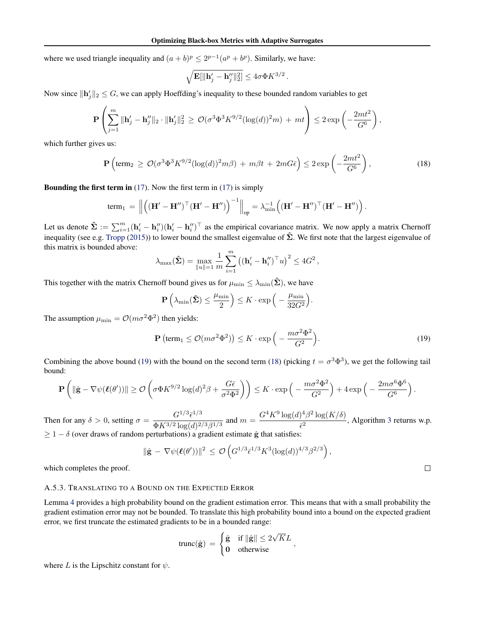<span id="page-21-0"></span>where we used triangle inequality and  $(a + b)^p \leq 2^{p-1}(a^p + b^p)$ . Similarly, we have:

$$
\sqrt{\mathbf{E}[\|\mathbf{h}_j'-\mathbf{h}_j''\|_2^2]}\leq 4\sigma\Phi K^{3/2}\,.
$$

Now since  $\|\mathbf{h}_j'\|_2 \leq G$ , we can apply Hoeffding's inequality to these bounded random variables to get

$$
\mathbf{P}\left(\sum_{j=1}^m \|\mathbf{h}'_j - \mathbf{h}''_j\|_2 \cdot \|\mathbf{h}'_j\|_2^2 \geq \mathcal{O}(\sigma^3 \Phi^3 K^{9/2} (\log(d))^2 m) + mt\right) \leq 2 \exp\left(-\frac{2mt^2}{G^6}\right)
$$

which further gives us:

$$
\mathbf{P}\left(\text{term}_2 \ge \mathcal{O}(\sigma^3 \Phi^3 K^{9/2} (\log(d))^2 m \beta) + m \beta t + 2mG\bar{\epsilon}\right) \le 2 \exp\left(-\frac{2mt^2}{G^6}\right),\tag{18}
$$

,

 $\Box$ 

**Bounding the first term in** [\(17\)](#page-20-0). Now the first term in (17) is simply

$$
\text{term}_1 = \left\| \left( (\mathbf{H}' - \mathbf{H}'')^\top (\mathbf{H}' - \mathbf{H}'') \right)^{-1} \right\|_{op} = \lambda_{\min}^{-1} \left( (\mathbf{H}' - \mathbf{H}'')^\top (\mathbf{H}' - \mathbf{H}'') \right).
$$

Let us denote  $\hat{\Sigma} := \sum_{i=1}^{m} (\mathbf{h}'_i - \mathbf{h}''_i)(\mathbf{h}'_i - \mathbf{h}''_i)^{\top}$  as the empirical covariance matrix. We now apply a matrix Chernoff inequality (see e.g. [Tropp](#page-9-0) [\(2015\)](#page-9-0)) to lower bound the smallest eigenvalue of  $\hat{\Sigma}$ . We first note that the largest eigenvalue of this matrix is bounded above:

$$
\lambda_{\max}(\hat{\boldsymbol{\Sigma}}) = \max_{\|u\|=1} \frac{1}{m} \sum_{i=1}^{m} \left( (\mathbf{h}'_i - \mathbf{h}''_i)^{\top} u \right)^2 \le 4G^2,
$$

This together with the matrix Chernoff bound gives us for  $\mu_{\min} \leq \lambda_{\min}(\hat{\Sigma})$ , we have

$$
\mathbf{P}\left(\lambda_{\min}(\hat{\mathbf{\Sigma}}) \le \frac{\mu_{\min}}{2}\right) \le K \cdot \exp\left(-\frac{\mu_{\min}}{32G^2}\right).
$$

The assumption  $\mu_{\min} = \mathcal{O}(m\sigma^2 \Phi^2)$  then yields:

$$
\mathbf{P}\left(\text{term}_1 \le \mathcal{O}(m\sigma^2\Phi^2)\right) \le K \cdot \exp\left(-\frac{m\sigma^2\Phi^2}{G^2}\right). \tag{19}
$$

Combining the above bound (19) with the bound on the second term (18) (picking  $t = \sigma^3 \Phi^3$ ), we get the following tail bound:

$$
\mathbf{P}\left(\|\hat{\mathbf{g}} - \nabla \psi(\boldsymbol{\ell}(\theta'))\| \geq \mathcal{O}\left(\sigma \Phi K^{9/2} \log(d)^2 \beta + \frac{G\bar{\epsilon}}{\sigma^2 \Phi^2}\right)\right) \leq K \cdot \exp\left(-\frac{m\sigma^2 \Phi^2}{G^2}\right) + 4 \exp\left(-\frac{2m\sigma^6 \Phi^6}{G^6}\right).
$$

Then for any  $\delta > 0$ , setting  $\sigma = \frac{G^{1/3} \bar{\epsilon}^{1/3}}{4 \pi K^2 (3 + \mu^2)}$  $\frac{G^{1/3}\bar{\epsilon}^{1/3}}{\Phi K^{3/2}\log(d)^{2/3}\beta^{1/3}}$  and  $m = \frac{G^4K^9\log(d)^4\beta^2\log(K/\delta)}{\bar{\epsilon}^2}$  $\frac{\sqrt{p}}{\epsilon^2}$   $\frac{\log(1/p)}{p}$ , Algorithm [3](#page-4-0) returns w.p.  $\geq 1 - \delta$  (over draws of random perturbations) a gradient estimate  $\hat{g}$  that satisfies:

$$
\|\hat{\mathbf{g}} - \nabla \psi(\boldsymbol{\ell}(\theta'))\|^2 \leq \mathcal{O}\left(G^{1/3} \bar{\epsilon}^{1/3} K^3 (\log(d))^{4/3} \beta^{2/3}\right),
$$

which completes the proof.

#### A.5.3. TRANSLATING TO A BOUND ON THE EXPECTED ERROR

Lemma [4](#page-5-0) provides a high probability bound on the gradient estimation error. This means that with a small probability the gradient estimation error may not be bounded. To translate this high probability bound into a bound on the expected gradient error, we first truncate the estimated gradients to be in a bounded range:

$$
\text{trunc}(\hat{\mathbf{g}}) = \begin{cases} \hat{\mathbf{g}} & \text{if } \|\hat{\mathbf{g}}\| \leq 2\sqrt{K}L \\ 0 & \text{otherwise} \end{cases}
$$

where L is the Lipschitz constant for  $\psi$ .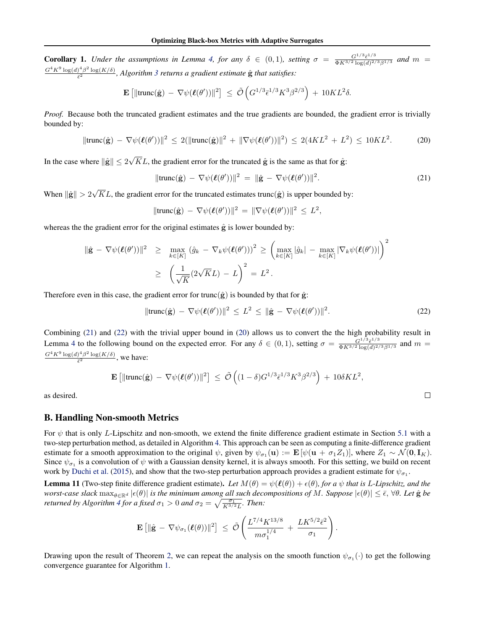<span id="page-22-0"></span>**Corollary 1.** *Under the assumptions in Lemma [4,](#page-5-0) for any*  $\delta \in (0,1)$ *, setting*  $\sigma = \frac{G^{1/3} \bar{\epsilon}^{1/3}}{\delta K^{3/2} \log(d)^{2/3}}$  $\frac{G^{1/3} \bar{\epsilon}^{1/3}}{\Phi K^{3/2} \log(d)^{2/3} \beta^{1/3}}$  and  $m =$  $G^4K^9\log(d)^4\beta^2\log(K/\delta)$  $\frac{1}{\epsilon^2}$   $\frac{\log(K/\delta)}{\log(K/\delta)}$ , Algorithm [3](#page-4-0) returns a gradient estimate  $\hat{g}$  that satisfies:

$$
\mathbf{E}\left[\|\mathrm{trunc}(\hat{\mathbf{g}}) - \nabla \psi(\boldsymbol{\ell}(\theta'))\|^2\right] \leq \tilde{\mathcal{O}}\left(G^{1/3}\bar{\epsilon}^{1/3}K^3\beta^{2/3}\right) + 10KL^2\delta.
$$

*Proof.* Because both the truncated gradient estimates and the true gradients are bounded, the gradient error is trivially bounded by:

$$
\|\text{trunc}(\hat{\mathbf{g}}) - \nabla \psi(\boldsymbol{\ell}(\theta'))\|^2 \le 2(\|\text{trunc}(\hat{\mathbf{g}})\|^2 + \|\nabla \psi(\boldsymbol{\ell}(\theta'))\|^2) \le 2(4KL^2 + L^2) \le 10KL^2. \tag{20}
$$

In the case where  $\|\hat{\mathbf{g}}\| \leq 2$ √ KL, the gradient error for the truncated  $\hat{g}$  is the same as that for  $\hat{g}$ :

$$
\|\text{trunc}(\hat{\mathbf{g}}) - \nabla \psi(\boldsymbol{\ell}(\theta'))\|^2 = \|\hat{\mathbf{g}} - \nabla \psi(\boldsymbol{\ell}(\theta'))\|^2.
$$
 (21)

When  $\|\hat{\mathbf{g}}\| > 2$ √ KL, the gradient error for the truncated estimates trunc $(\hat{g})$  is upper bounded by:

$$
\|\mathrm{trunc}(\hat{\mathbf{g}}) - \nabla \psi(\boldsymbol{\ell}(\theta'))\|^2 = \|\nabla \psi(\boldsymbol{\ell}(\theta'))\|^2 \leq L^2,
$$

whereas the the gradient error for the original estimates  $\hat{g}$  is lower bounded by:

$$
\|\hat{\mathbf{g}} - \nabla \psi(\boldsymbol{\ell}(\theta'))\|^2 \geq \max_{k \in [K]} (\hat{g}_k - \nabla_k \psi(\boldsymbol{\ell}(\theta')))^2 \geq \left(\max_{k \in [K]} |\hat{g}_k| - \max_{k \in [K]} |\nabla_k \psi(\boldsymbol{\ell}(\theta'))|\right)^2
$$

$$
\geq \left(\frac{1}{\sqrt{K}} (2\sqrt{K}L) - L\right)^2 = L^2.
$$

Therefore even in this case, the gradient error for trunc( $\hat{g}$ ) is bounded by that for  $\hat{g}$ :

$$
\|\text{trunc}(\hat{\mathbf{g}}) - \nabla \psi(\boldsymbol{\ell}(\theta'))\|^2 \le L^2 \le \|\hat{\mathbf{g}} - \nabla \psi(\boldsymbol{\ell}(\theta'))\|^2. \tag{22}
$$

Combining (21) and (22) with the trivial upper bound in (20) allows us to convert the the high probability result in Lemma [4](#page-5-0) to the following bound on the expected error. For any  $\delta \in (0,1)$ , setting  $\sigma = \frac{G^{1/3} \bar{\epsilon}^{1/3}}{\Phi K^3 \sqrt{2} \log (d)^2}$  $\frac{G^{1/3} \bar{\epsilon}^{1/3}}{\Phi K^{3/2} \log(d)^{2/3} \beta^{1/3}}$  and  $m =$  $G^4K^9\log(d)^4\beta^2\log(K/\delta)$  $\frac{\partial P}{\partial \bar{\epsilon}^2}$  we have:

$$
\mathbf{E}\left[\|\text{trunc}(\hat{\mathbf{g}}) - \nabla \psi(\boldsymbol{\ell}(\theta'))\|^2\right] \leq \tilde{\mathcal{O}}\left((1-\delta)G^{1/3}\bar{\epsilon}^{1/3}K^3\beta^{2/3}\right) + 10\delta KL^2,
$$

as desired.

# B. Handling Non-smooth Metrics

For  $\psi$  that is only L-Lipschitz and non-smooth, we extend the finite difference gradient estimate in Section [5.1](#page-4-0) with a two-step perturbation method, as detailed in Algorithm [4.](#page-23-0) This approach can be seen as computing a finite-difference gradient estimate for a smooth approximation to the original  $\psi$ , given by  $\psi_{\sigma_1}(\mathbf{u}) := \mathbf{E}[\psi(\mathbf{u} + \sigma_1 Z_1)]$ , where  $Z_1 \sim \mathcal{N}(\mathbf{0}, \mathbf{I}_K)$ . Since  $\psi_{\sigma_1}$  is a convolution of  $\psi$  with a Gaussian density kernel, it is always smooth. For this setting, we build on recent work by [Duchi et al.](#page-8-0) [\(2015\)](#page-8-0), and show that the two-step perturbation approach provides a gradient estimate for  $\psi_{\sigma_1}$ .

**Lemma 11** (Two-step finite difference gradient estimate). Let  $M(\theta) = \psi(\ell(\theta)) + \epsilon(\theta)$ , for a  $\psi$  that is L-Lipschitz, and the *worst-case slack*  $\max_{\theta \in \mathbb{R}^d} |\epsilon(\theta)|$  *is the minimum among all such decompositions of* M. Suppose  $|\epsilon(\theta)| \leq \bar{\epsilon}$ ,  $\forall \theta$ . Let  $\hat{g}$  be *returned by Algorithm [4](#page-23-0) for a fixed*  $\sigma_1 > 0$  *and*  $\sigma_2 = \sqrt{\frac{\sigma_1}{K^{3/2}L}}$ *. Then:* 

$$
\mathbf{E}\left[\|\hat{\mathbf{g}} - \nabla \psi_{\sigma_1}(\boldsymbol{\ell}(\theta))\|^2\right] \leq \tilde{\mathcal{O}}\left(\frac{L^{7/4}K^{13/8}}{m\sigma_1^{1/4}} + \frac{LK^{5/2}\bar{\epsilon}^2}{\sigma_1}\right).
$$

Drawing upon the result of Theorem [2,](#page-3-0) we can repeat the analysis on the smooth function  $\psi_{\sigma_1}(\cdot)$  to get the following convergence guarantee for Algorithm [1.](#page-3-0)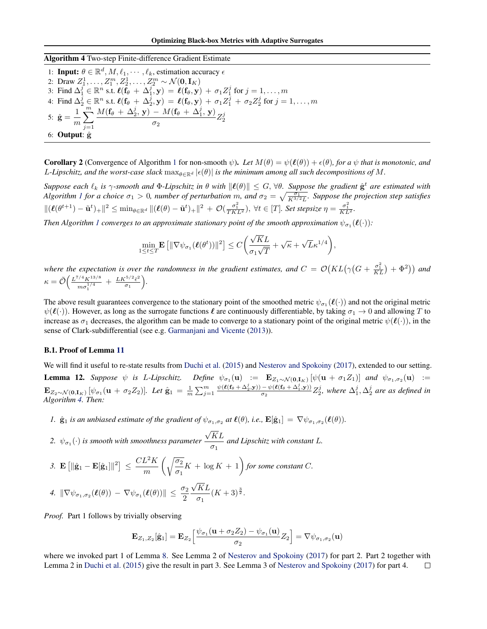# <span id="page-23-0"></span>Algorithm 4 Two-step Finite-difference Gradient Estimate

1: **Input:**  $\theta \in \mathbb{R}^d, M, \ell_1, \dots, \ell_k$ , estimation accuracy  $\epsilon$ 2: Draw  $Z_1^1, \ldots, Z_1^m, Z_2^1, \ldots, Z_2^m \sim \mathcal{N}(\mathbf{0}, \mathbf{I}_K)$ 3: Find  $\Delta_1^j \in \mathbb{R}^n$  s.t.  $\ell(f_\theta + \Delta_1^j, \mathbf{y}) = \ell(f_\theta, \mathbf{y}) + \sigma_1 Z_1^j$  for  $j = 1, \ldots, m$ 4: Find  $\Delta_2^j \in \mathbb{R}^n$  s.t.  $\ell(f_\theta + \Delta_2^j, \mathbf{y}) = \ell(f_\theta, \mathbf{y}) + \sigma_1 Z_1^j + \sigma_2 Z_2^j$  for  $j = 1, \ldots, m$ 5:  $\hat{\bf g} = \frac{1}{n}$ m  $\sum_{i=1}^{m}$  $j=1$  $M({\bf f}_{\theta} \, + \, \Delta_2^j, \, {\bf y}) \, - \, M({\bf f}_{\theta} \, + \, \Delta_1^j, \, {\bf y})$  $\frac{N(10 + \Delta_1, y)}{\sigma_2} Z_2^j$ 6: Output: gˆ

**Corollary 2** (Convergence of Algorithm [1](#page-3-0) for non-smooth  $\psi$ ). Let  $M(\theta) = \psi(\ell(\theta)) + \epsilon(\theta)$ , for a  $\psi$  that is monotonic, and L-Lipschitz, and the worst-case slack  $\max_{\theta \in \mathbb{R}^d} |\epsilon(\theta)|$  *is the minimum among all such decompositions of* M.

 $Suppose \ each \ \ell_k \ is \ \gamma\text{-smooth} \ and \ \Phi\text{-Lipschitz in} \ \theta \ with \ \|\ell(\theta)\| \leq G, \ \forall \theta. \ \ Suppose \ the \ gradient \ \hat{\mathbf{g}}^t \ are \ estimated \ with$ *Algorithm [1](#page-3-0) for a choice*  $\sigma_1 > 0$ , number of perturbation m, and  $\sigma_2 = \sqrt{\frac{\sigma_1}{K^{3/2}L}}$ . Suppose the projection step satisfies  $\|(\boldsymbol{\ell}(\theta^{t+1}) - \tilde{\mathbf{u}}^t)_{+}\|^2 \leq \min_{\theta \in \mathbb{R}^d} \|(\boldsymbol{\ell}(\theta) - \tilde{\mathbf{u}}^t)_{+}\|^2 + \mathcal{O}(\frac{\sigma_1^2}{TKL^2}), \forall t \in [T].$  Set stepsize  $\eta = \frac{\sigma_1^2}{KL^2}$ .

Then Algorithm [1](#page-3-0) converges to an approximate stationary point of the smooth approximation  $\psi_{\sigma_1}(\pmb\ell(\cdot))$ :

$$
\min_{1 \leq t \leq T} \mathbf{E} \left[ \|\nabla \psi_{\sigma_1}(\boldsymbol{\ell}(\theta^t))\|^2 \right] \leq C \bigg( \frac{\sqrt{K}L}{\sigma_1 \sqrt{T}} + \sqrt{\kappa} + \sqrt{L} \kappa^{1/4} \bigg),
$$

where the expectation is over the randomness in the gradient estimates, and  $C = \mathcal{O}(KL(\gamma(G+\frac{\sigma_1^2}{KL})+\Phi^2))$  and  $\kappa = \tilde{\mathcal{O}}\Big(\frac{L^{7/4}K^{13/8}}{1/4}$  $\frac{m\sigma_1^{1/4}}{m\sigma_1^{1/4}} + \frac{LK^{5/2}\bar{\epsilon}^2}{\sigma_1}$  $\frac{e^{5/2}\bar{\epsilon}^2}{\sigma_1}$ .

The above result guarantees convergence to the stationary point of the smoothed metric  $\psi_{\sigma_1}(\ell(\cdot))$  and not the original metric  $\psi(\ell(\cdot))$ . However, as long as the surrogate functions  $\ell$  are continuously differentiable, by taking  $\sigma_1 \to 0$  and allowing T to increase as  $\sigma_1$  decreases, the algorithm can be made to converge to a stationary point of the original metric  $\psi(\ell(\cdot))$ , in the sense of Clark-subdifferential (see e.g. [Garmanjani and Vicente](#page-8-0) [\(2013\)](#page-8-0)).

#### B.1. Proof of Lemma [11](#page-22-0)

We will find it useful to re-state results from [Duchi et al.](#page-8-0) [\(2015\)](#page-8-0) and [Nesterov and Spokoiny](#page-8-0) [\(2017\)](#page-8-0), extended to our setting. **Lemma 12.** Suppose  $\psi$  is L-Lipschitz. Define  $\psi_{\sigma_1}(\mathbf{u}) := \mathbf{E}_{Z_1 \sim \mathcal{N}(\mathbf{0}, \mathbf{I}_K)} [\psi(\mathbf{u} + \sigma_1 Z_1)]$  and  $\psi_{\sigma_1, \sigma_2}(\mathbf{u}) :=$  ${\bf E}_{Z_2 \sim {\cal N}({\bf 0},{\bf I}_K)} \left[ \psi_{\sigma_1}({\bf u} + \sigma_2 Z_2) \right]$ . Let  $\hat{{\bf g}}_1 = \frac{1}{m} \sum_{j=1}^m \frac{\psi(\ell({\bf f}_{\theta} + \Delta_2^j,{\bf y})) - \psi(\ell({\bf f}_{\theta} + \Delta_1^j,{\bf y}))}{\sigma_2}$  $\frac{-\psi(\ell(\mathbf{f}_{\theta} + \Delta_1^j, \mathbf{y}))}{\sigma_2} Z_2^j$ , where  $\Delta_1^j$ ,  $\Delta_2^j$  are as defined in *Algorithm 4. Then:*

*1.*  $\hat{\mathbf{g}}_1$  *is an unbiased estimate of the gradient of*  $\psi_{\sigma_1,\sigma_2}$  *at*  $\ell(\theta)$ *, i.e.,*  $\mathbf{E}[\hat{\mathbf{g}}_1] = \nabla \psi_{\sigma_1,\sigma_2}(\ell(\theta))$ *.* 

2. 
$$
\psi_{\sigma_1}(\cdot)
$$
 is smooth with smoothness parameter  $\frac{\sqrt{K}L}{\sigma_1}$  and Lipschitz with constant L.

3. 
$$
\mathbf{E}\left[\|\hat{\mathbf{g}}_1 - \mathbf{E}[\hat{\mathbf{g}}_1]\|^2\right] \le \frac{CL^2 K}{m} \left(\sqrt{\frac{\sigma_2}{\sigma_1}}K + \log K + 1\right) \text{ for some constant } C.
$$

4. 
$$
\|\nabla \psi_{\sigma_1, \sigma_2}(\ell(\theta)) - \nabla \psi_{\sigma_1}(\ell(\theta))\| \leq \frac{\sigma_2}{2} \frac{\sqrt{KL}}{\sigma_1} (K+3)^{\frac{3}{2}}.
$$

*Proof.* Part 1 follows by trivially observing

$$
\mathbf{E}_{Z_1,Z_2}[\hat{\mathbf{g}}_1] = \mathbf{E}_{Z_2}\Big[\frac{\psi_{\sigma_1}(\mathbf{u} + \sigma_2 Z_2) - \psi_{\sigma_1}(\mathbf{u})}{\sigma_2}Z_2\Big] = \nabla \psi_{\sigma_1,\sigma_2}(\mathbf{u})
$$

where we invoked part 1 of Lemma [8.](#page-17-0) See Lemma 2 of [Nesterov and Spokoiny](#page-8-0) [\(2017\)](#page-8-0) for part 2. Part 2 together with Lemma 2 in [Duchi et al.](#page-8-0) [\(2015\)](#page-8-0) give the result in part 3. See Lemma 3 of [Nesterov and Spokoiny](#page-8-0) [\(2017\)](#page-8-0) for part 4. $\Box$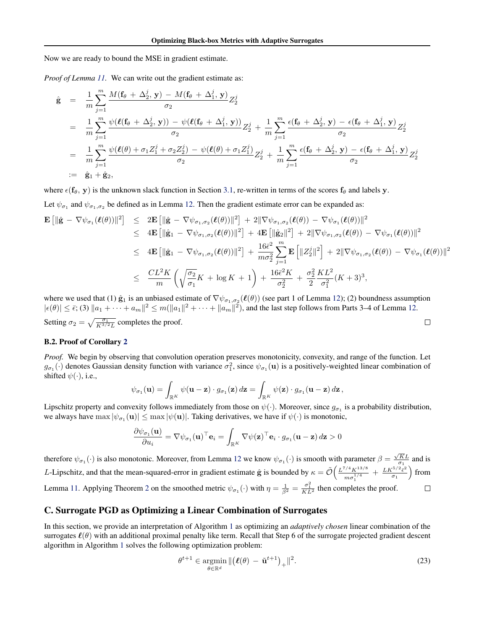<span id="page-24-0"></span>Now we are ready to bound the MSE in gradient estimate.

*Proof of Lemma [11.](#page-22-0)* We can write out the gradient estimate as:

$$
\hat{\mathbf{g}} = \frac{1}{m} \sum_{j=1}^{m} \frac{M(\mathbf{f}_{\theta} + \Delta_{2}^{j}, \mathbf{y}) - M(\mathbf{f}_{\theta} + \Delta_{1}^{j}, \mathbf{y})}{\sigma_{2}} Z_{2}^{j}
$$
\n
$$
= \frac{1}{m} \sum_{j=1}^{m} \frac{\psi(\ell(\mathbf{f}_{\theta} + \Delta_{2}^{j}, \mathbf{y})) - \psi(\ell(\mathbf{f}_{\theta} + \Delta_{1}^{j}, \mathbf{y}))}{\sigma_{2}} Z_{2}^{j} + \frac{1}{m} \sum_{j=1}^{m} \frac{\epsilon(\mathbf{f}_{\theta} + \Delta_{2}^{j}, \mathbf{y}) - \epsilon(\mathbf{f}_{\theta} + \Delta_{1}^{j}, \mathbf{y})}{\sigma_{2}} Z_{2}^{j}
$$
\n
$$
= \frac{1}{m} \sum_{j=1}^{m} \frac{\psi(\ell(\theta) + \sigma_{1} Z_{1}^{j} + \sigma_{2} Z_{2}^{j}) - \psi(\ell(\theta) + \sigma_{1} Z_{1}^{j})}{\sigma_{2}} Z_{2}^{j} + \frac{1}{m} \sum_{j=1}^{m} \frac{\epsilon(\mathbf{f}_{\theta} + \Delta_{2}^{j}, \mathbf{y}) - \epsilon(\mathbf{f}_{\theta} + \Delta_{1}^{j}, \mathbf{y})}{\sigma_{2}} Z_{2}^{j}
$$
\n
$$
:= \hat{\mathbf{g}}_{1} + \hat{\mathbf{g}}_{2},
$$

where  $\epsilon(f_\theta, y)$  is the unknown slack function in Section [3.1,](#page-1-0) re-written in terms of the scores  $f_\theta$  and labels y.

Let  $\psi_{\sigma_1}$  and  $\psi_{\sigma_1,\sigma_2}$  be defined as in Lemma [12.](#page-23-0) Then the gradient estimate error can be expanded as:

$$
\mathbf{E} \left[ \|\hat{\mathbf{g}} - \nabla \psi_{\sigma_1}(\ell(\theta))\|^2 \right] \leq 2 \mathbf{E} \left[ \|\hat{\mathbf{g}} - \nabla \psi_{\sigma_1, \sigma_2}(\ell(\theta))\|^2 \right] + 2 \|\nabla \psi_{\sigma_1, \sigma_2}(\ell(\theta)) - \nabla \psi_{\sigma_1}(\ell(\theta))\|^2
$$
\n
$$
\leq 4 \mathbf{E} \left[ \|\hat{\mathbf{g}}_1 - \nabla \psi_{\sigma_1, \sigma_2}(\ell(\theta))\|^2 \right] + 4 \mathbf{E} \left[ \|\hat{\mathbf{g}}_2\|^2 \right] + 2 \|\nabla \psi_{\sigma_1, \sigma_2}(\ell(\theta)) - \nabla \psi_{\sigma_1}(\ell(\theta))\|^2
$$
\n
$$
\leq 4 \mathbf{E} \left[ \|\hat{\mathbf{g}}_1 - \nabla \psi_{\sigma_1, \sigma_2}(\ell(\theta))\|^2 \right] + \frac{16\bar{\epsilon}^2}{m\sigma_2^2} \sum_{j=1}^m \mathbf{E} \left[ \|\mathbf{Z}_2^j\|^2 \right] + 2 \|\nabla \psi_{\sigma_1, \sigma_2}(\ell(\theta)) - \nabla \psi_{\sigma_1}(\ell(\theta))\|^2
$$
\n
$$
\leq \frac{CL^2 K}{m} \left( \sqrt{\frac{\sigma_2}{\sigma_1}} K + \log K + 1 \right) + \frac{16\bar{\epsilon}^2 K}{\sigma_2^2} + \frac{\sigma_2^2}{2} \frac{KL^2}{\sigma_1^2} (K + 3)^3,
$$

where we used that (1)  $\hat{g}_1$  is an unbiased estimate of  $\nabla \psi_{\sigma_1,\sigma_2}(\ell(\theta))$  (see part 1 of Lemma [12\)](#page-23-0); (2) boundness assumption  $|\epsilon(\theta)| \leq \bar{\epsilon}$ ; (3)  $\|a_1 + \cdots + a_m\|^2 \leq m(\|a_1\|^2 + \cdots + \|a_m\|^2)$ , and the last step follows from Parts 3–4 of Lemma [12.](#page-23-0) Setting  $\sigma_2 = \sqrt{\frac{\sigma_1}{K^{3/2}L}}$  completes the proof.  $\Box$ 

### B.2. Proof of Corollary [2](#page-23-0)

*Proof.* We begin by observing that convolution operation preserves monotonicity, convexity, and range of the function. Let  $g_{\sigma_1}(\cdot)$  denotes Gaussian density function with variance  $\sigma_1^2$ , since  $\psi_{\sigma_1}(\mathbf{u})$  is a positively-weighted linear combination of shifted  $\psi(\cdot)$ , i.e.,

$$
\psi_{\sigma_1}(\mathbf{u}) = \int_{\mathbb{R}^K} \psi(\mathbf{u} - \mathbf{z}) \cdot g_{\sigma_1}(\mathbf{z}) d\mathbf{z} = \int_{\mathbb{R}^K} \psi(\mathbf{z}) \cdot g_{\sigma_1}(\mathbf{u} - \mathbf{z}) d\mathbf{z},
$$

Lipschitz property and convexity follows immediately from those on  $\psi(\cdot)$ . Moreover, since  $g_{\sigma_1}$  is a probability distribution, we always have  $\max |\psi_{\sigma_1}(\mathbf{u})| \leq \max |\psi(\mathbf{u})|$ . Taking derivatives, we have if  $\psi(\cdot)$  is monotonic,

$$
\frac{\partial \psi_{\sigma_1}(\mathbf{u})}{\partial u_i} = \nabla \psi_{\sigma_1}(\mathbf{u})^\top \mathbf{e}_i = \int_{\mathbb{R}^K} \nabla \psi(\mathbf{z})^\top \mathbf{e}_i \cdot g_{\sigma_1}(\mathbf{u} - \mathbf{z}) d\mathbf{z} > 0
$$

therefore  $\psi_{\sigma_1}(\cdot)$  is also monotonic. Moreover, from Lemma [12](#page-23-0) we know  $\psi_{\sigma_1}(\cdot)$  is smooth with parameter  $\beta = \frac{\sqrt{KL}}{\sigma_1}$  and is L-Lipschitz, and that the mean-squared-error in gradient estimate  $\hat{g}$  is bounded by  $\kappa = \tilde{\mathcal{O}}\left(\frac{L^{7/4}K^{13/8}}{1/4}\right)$  $\frac{\epsilon^{5/2} \bar{\epsilon}^2}{\sigma_1}$  from  $\frac{M^{1/4} K^{13/8}}{m \sigma_1^{1/4}} + \frac{LK^{5/2} \bar{\epsilon}^2}{\sigma_1}$ Lemma [11.](#page-22-0) Applying Theorem [2](#page-3-0) on the smoothed metric  $\psi_{\sigma_1}(\cdot)$  with  $\eta = \frac{1}{\beta^2} = \frac{\sigma_1^2}{KL^2}$  then completes the proof.  $\Box$ 

# C. Surrogate PGD as Optimizing a Linear Combination of Surrogates

In this section, we provide an interpretation of Algorithm [1](#page-3-0) as optimizing an *adaptively chosen* linear combination of the surrogates  $\ell(\theta)$  with an additional proximal penalty like term. Recall that Step 6 of the surrogate projected gradient descent algorithm in Algorithm [1](#page-3-0) solves the following optimization problem:

$$
\theta^{t+1} \in \underset{\theta \in \mathbb{R}^d}{\operatorname{argmin}} \, \| \big( \ell(\theta) \, - \, \tilde{\mathbf{u}}^{t+1} \big)_+ \|^2. \tag{23}
$$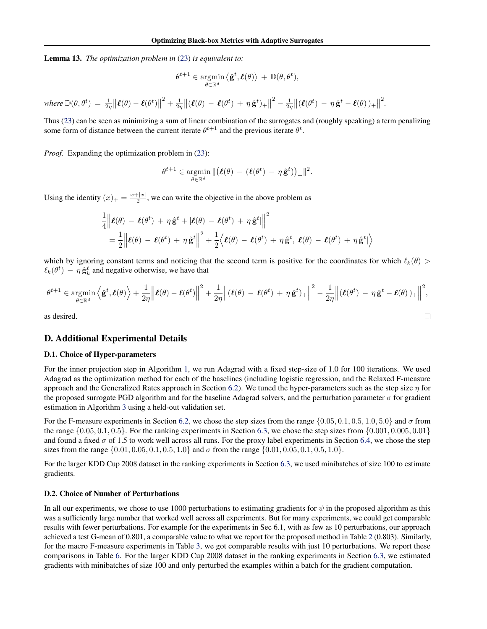<span id="page-25-0"></span>Lemma 13. *The optimization problem in* [\(23\)](#page-24-0) *is equivalent to:*

$$
\theta^{t+1} \in \mathop{\rm argmin}_{\theta \in \mathbb{R}^d} \left\langle \hat{\mathbf{g}}^t, \boldsymbol{\ell}(\theta) \right\rangle + \mathbb{D}(\theta, \theta^t),
$$

*where*  $\mathbb{D}(\theta, \theta^t) = \frac{1}{2\eta} ||\boldsymbol{\ell}(\theta) - \boldsymbol{\ell}(\theta^t)||$  $\mathbf{Z}^2 + \frac{1}{2\eta} \| (\boldsymbol{\ell}(\theta) - \boldsymbol{\ell}(\theta^t) + \eta \, \hat{\mathbf{g}}^t)_+ \|$  $\hat{\mathcal{L}}^2 - \frac{1}{2\eta} \| (\boldsymbol{\ell}(\theta^t) - \eta \, \hat{\mathbf{g}}^t - \boldsymbol{\ell}(\theta))_+ \|$ 2 *.*

Thus [\(23\)](#page-24-0) can be seen as minimizing a sum of linear combination of the surrogates and (roughly speaking) a term penalizing some form of distance between the current iterate  $\theta^{t+1}$  and the previous iterate  $\theta^t$ .

*Proof.* Expanding the optimization problem in [\(23\)](#page-24-0):

$$
\theta^{t+1} \in \operatorname*{argmin}_{\theta \in \mathbb{R}^d} \| (\boldsymbol{\ell}(\theta) - (\boldsymbol{\ell}(\theta^t) - \eta \, \hat{\mathbf{g}}^t))_+\|^2.
$$

Using the identity  $(x)_+ = \frac{x+|x|}{2}$  $\frac{2}{2}$ , we can write the objective in the above problem as

$$
\frac{1}{4} ||\boldsymbol{\ell}(\theta) - \boldsymbol{\ell}(\theta^t) + \eta \hat{\mathbf{g}}^t + |\boldsymbol{\ell}(\theta) - \boldsymbol{\ell}(\theta^t) + \eta \hat{\mathbf{g}}^t||^2
$$
\n
$$
= \frac{1}{2} ||\boldsymbol{\ell}(\theta) - \boldsymbol{\ell}(\theta^t) + \eta \hat{\mathbf{g}}^t||^2 + \frac{1}{2} \langle \boldsymbol{\ell}(\theta) - \boldsymbol{\ell}(\theta^t) + \eta \hat{\mathbf{g}}^t, |\boldsymbol{\ell}(\theta) - \boldsymbol{\ell}(\theta^t) + \eta \hat{\mathbf{g}}^t| \rangle
$$

which by ignoring constant terms and noticing that the second term is positive for the coordinates for which  $\ell_k(\theta)$  $\ell_k(\theta^t) - \eta \hat{\mathbf{g}}_k^t$  and negative otherwise, we have that

$$
\theta^{t+1} \in \underset{\theta \in \mathbb{R}^d}{\operatorname{argmin}} \left\langle \hat{\mathbf{g}}^t, \boldsymbol{\ell}(\theta) \right\rangle + \frac{1}{2\eta} \left\| \boldsymbol{\ell}(\theta) - \boldsymbol{\ell}(\theta^t) \right\|^2 + \frac{1}{2\eta} \left\| (\boldsymbol{\ell}(\theta) - \boldsymbol{\ell}(\theta^t) + \eta \, \hat{\mathbf{g}}^t)_+ \right\|^2 - \frac{1}{2\eta} \left\| (\boldsymbol{\ell}(\theta^t) - \eta \, \hat{\mathbf{g}}^t - \boldsymbol{\ell}(\theta))_+ \right\|^2,
$$
\nas desired.

as desired.

# D. Additional Experimental Details

# D.1. Choice of Hyper-parameters

For the inner projection step in Algorithm [1,](#page-3-0) we run Adagrad with a fixed step-size of 1.0 for 100 iterations. We used Adagrad as the optimization method for each of the baselines (including logistic regression, and the Relaxed F-measure approach and the Generalized Rates approach in Section [6.2\)](#page-6-0). We tuned the hyper-parameters such as the step size  $\eta$  for the proposed surrogate PGD algorithm and for the baseline Adagrad solvers, and the perturbation parameter  $\sigma$  for gradient estimation in Algorithm [3](#page-4-0) using a held-out validation set.

For the F-measure experiments in Section [6.2,](#page-6-0) we chose the step sizes from the range  $\{0.05, 0.1, 0.5, 1.0, 5.0\}$  and  $\sigma$  from the range  $\{0.05, 0.1, 0.5\}$ . For the ranking experiments in Section [6.3,](#page-6-0) we chose the step sizes from  $\{0.001, 0.005, 0.01\}$ and found a fixed  $\sigma$  of 1.5 to work well across all runs. For the proxy label experiments in Section [6.4,](#page-7-0) we chose the step sizes from the range  $\{0.01, 0.05, 0.1, 0.5, 1.0\}$  and  $\sigma$  from the range  $\{0.01, 0.05, 0.1, 0.5, 1.0\}$ .

For the larger KDD Cup 2008 dataset in the ranking experiments in Section [6.3,](#page-6-0) we used minibatches of size 100 to estimate gradients.

# D.2. Choice of Number of Perturbations

In all our experiments, we chose to use 1000 perturbations to estimating gradients for  $\psi$  in the proposed algorithm as this was a sufficiently large number that worked well across all experiments. But for many experiments, we could get comparable results with fewer perturbations. For example for the experiments in Sec 6.1, with as few as 10 perturbations, our approach achieved a test G-mean of 0.801, a comparable value to what we report for the proposed method in Table [2](#page-5-0) (0.803). Similarly, for the macro F-measure experiments in Table [3,](#page-6-0) we got comparable results with just 10 perturbations. We report these comparisons in Table [6.](#page-26-0) For the larger KDD Cup 2008 dataset in the ranking experiments in Section [6.3,](#page-6-0) we estimated gradients with minibatches of size 100 and only perturbed the examples within a batch for the gradient computation.